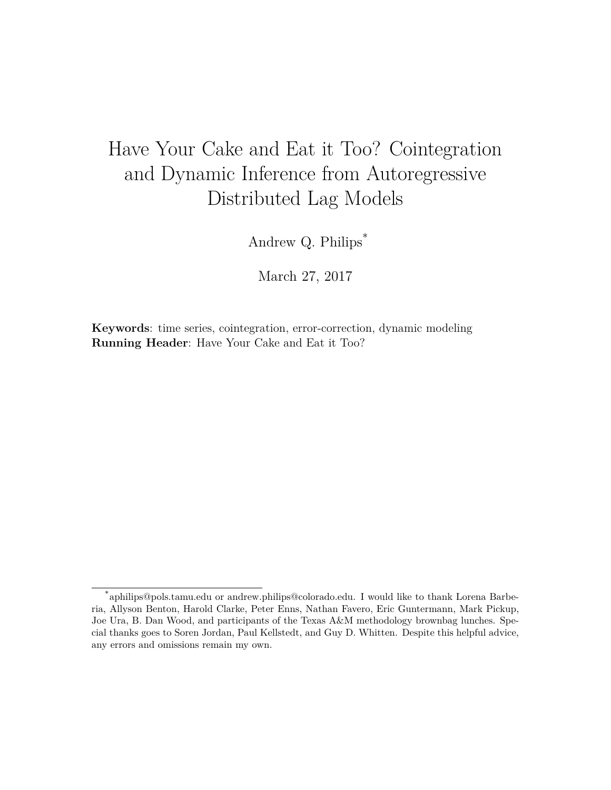# Have Your Cake and Eat it Too? Cointegration and Dynamic Inference from Autoregressive Distributed Lag Models

Andrew Q. Philips\*

March 27, 2017

**Keywords**: time series, cointegration, error-correction, dynamic modeling **Running Header**: Have Your Cake and Eat it Too?

<sup>\*</sup>aphilips@pols.tamu.edu or andrew.philips@colorado.edu. I would like to thank Lorena Barberia, Allyson Benton, Harold Clarke, Peter Enns, Nathan Favero, Eric Guntermann, Mark Pickup, Joe Ura, B. Dan Wood, and participants of the Texas A&M methodology brownbag lunches. Special thanks goes to Soren Jordan, Paul Kellstedt, and Guy D. Whitten. Despite this helpful advice, any errors and omissions remain my own.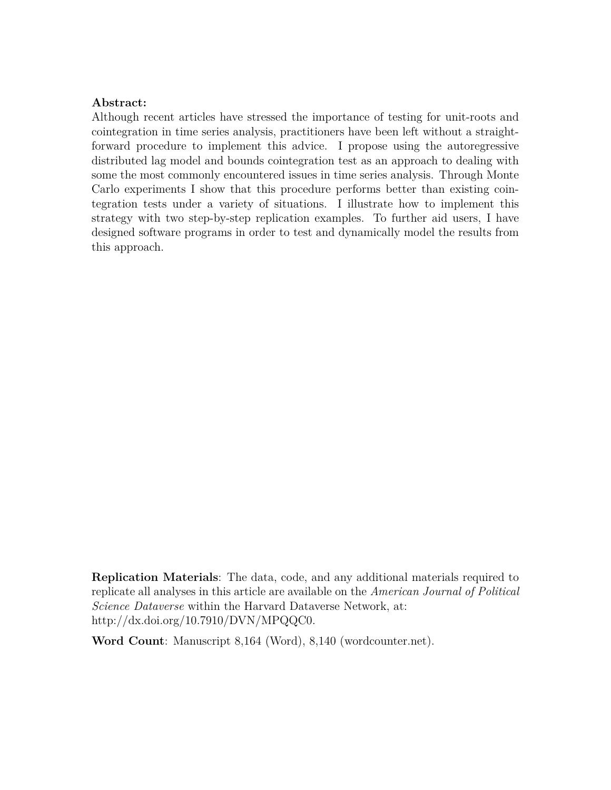### **Abstract:**

Although recent articles have stressed the importance of testing for unit-roots and cointegration in time series analysis, practitioners have been left without a straightforward procedure to implement this advice. I propose using the autoregressive distributed lag model and bounds cointegration test as an approach to dealing with some the most commonly encountered issues in time series analysis. Through Monte Carlo experiments I show that this procedure performs better than existing cointegration tests under a variety of situations. I illustrate how to implement this strategy with two step-by-step replication examples. To further aid users, I have designed software programs in order to test and dynamically model the results from this approach.

**Replication Materials**: The data, code, and any additional materials required to replicate all analyses in this article are available on the *American Journal of Political Science Dataverse* within the Harvard Dataverse Network, at: <http://dx.doi.org/10.7910/DVN/MPQQC0>.

**Word Count**: Manuscript 8,164 (Word), 8,140 (wordcounter.net).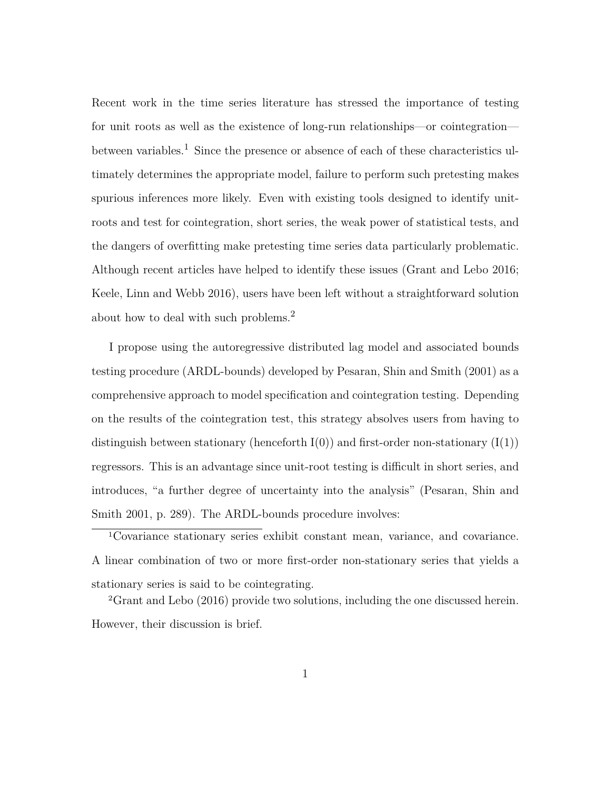Recent work in the time series literature has stressed the importance of testing for unit roots as well as the existence of long-run relationships—or cointegration between variables.<sup>1</sup> Since the presence or absence of each of these characteristics ultimately determines the appropriate model, failure to perform such pretesting makes spurious inferences more likely. Even with existing tools designed to identify unitroots and test for cointegration, short series, the weak power of statistical tests, and the dangers of overfitting make pretesting time series data particularly problematic. Although recent articles have helped to identify these issues (Grant and Lebo 2016; Keele, Linn and Webb 2016), users have been left without a straightforward solution about how to deal with such problems.2

I propose using the autoregressive distributed lag model and associated bounds testing procedure (ARDL-bounds) developed by Pesaran, Shin and Smith (2001) as a comprehensive approach to model specification and cointegration testing. Depending on the results of the cointegration test, this strategy absolves users from having to distinguish between stationary (henceforth  $I(0)$ ) and first-order non-stationary  $(I(1))$ regressors. This is an advantage since unit-root testing is difficult in short series, and introduces, "a further degree of uncertainty into the analysis" (Pesaran, Shin and Smith 2001, p. 289). The ARDL-bounds procedure involves:

<sup>1</sup>Covariance stationary series exhibit constant mean, variance, and covariance. A linear combination of two or more first-order non-stationary series that yields a stationary series is said to be cointegrating.

<sup>2</sup>Grant and Lebo (2016) provide two solutions, including the one discussed herein. However, their discussion is brief.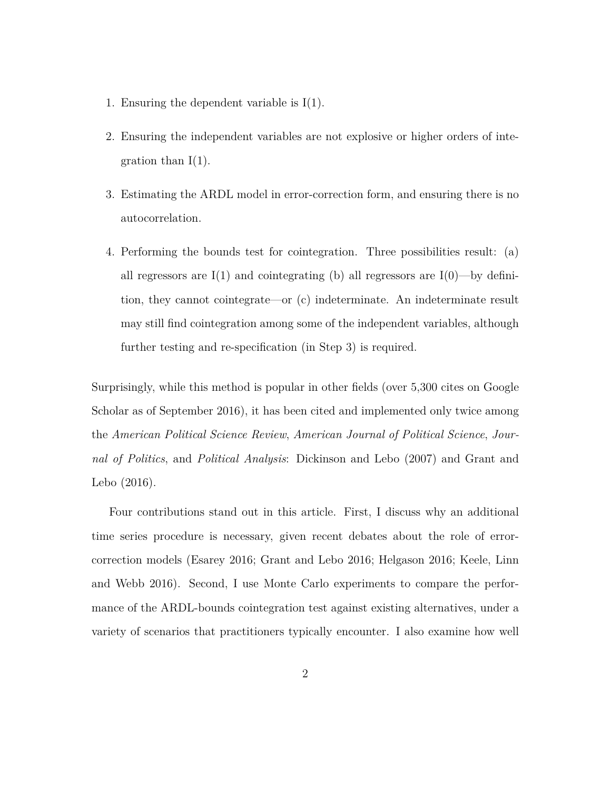- 1. Ensuring the dependent variable is I(1).
- 2. Ensuring the independent variables are not explosive or higher orders of integration than  $I(1)$ .
- 3. Estimating the ARDL model in error-correction form, and ensuring there is no autocorrelation.
- 4. Performing the bounds test for cointegration. Three possibilities result: (a) all regressors are  $I(1)$  and cointegrating (b) all regressors are  $I(0)$ —by definition, they cannot cointegrate—or (c) indeterminate. An indeterminate result may still find cointegration among some of the independent variables, although further testing and re-specification (in Step 3) is required.

Surprisingly, while this method is popular in other fields (over 5,300 cites on Google Scholar as of September 2016), it has been cited and implemented only twice among the *American Political Science Review*, *American Journal of Political Science*, *Journal of Politics*, and *Political Analysis*: Dickinson and Lebo (2007) and Grant and Lebo (2016).

Four contributions stand out in this article. First, I discuss why an additional time series procedure is necessary, given recent debates about the role of errorcorrection models (Esarey 2016; Grant and Lebo 2016; Helgason 2016; Keele, Linn and Webb 2016). Second, I use Monte Carlo experiments to compare the performance of the ARDL-bounds cointegration test against existing alternatives, under a variety of scenarios that practitioners typically encounter. I also examine how well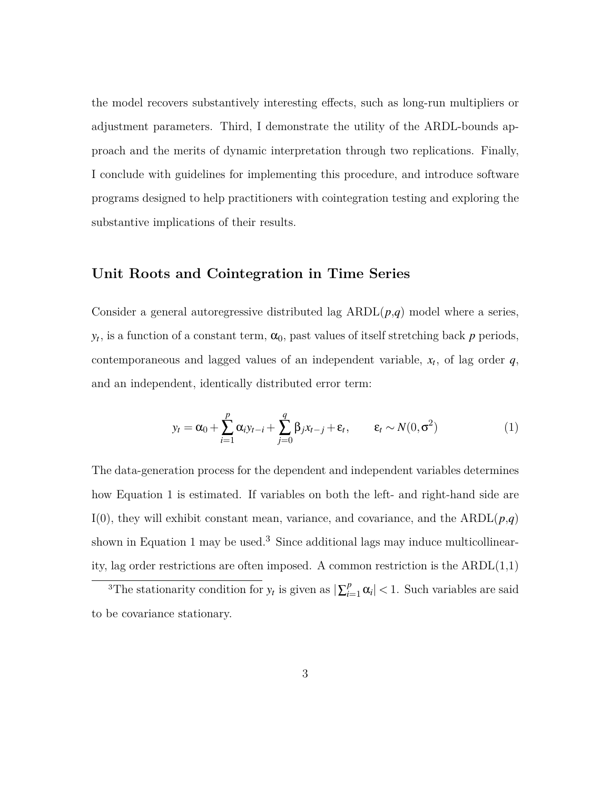the model recovers substantively interesting effects, such as long-run multipliers or adjustment parameters. Third, I demonstrate the utility of the ARDL-bounds approach and the merits of dynamic interpretation through two replications. Finally, I conclude with guidelines for implementing this procedure, and introduce software programs designed to help practitioners with cointegration testing and exploring the substantive implications of their results.

### **Unit Roots and Cointegration in Time Series**

Consider a general autoregressive distributed lag  $ARDL(p,q)$  model where a series,  $y_t$ , is a function of a constant term,  $\alpha_0$ , past values of itself stretching back *p* periods, contemporaneous and lagged values of an independent variable,  $x_t$ , of lag order  $q$ , and an independent, identically distributed error term:

$$
y_t = \alpha_0 + \sum_{i=1}^p \alpha_i y_{t-i} + \sum_{j=0}^q \beta_j x_{t-j} + \varepsilon_t, \qquad \varepsilon_t \sim N(0, \sigma^2)
$$
 (1)

The data-generation process for the dependent and independent variables determines how Equation 1 is estimated. If variables on both the left- and right-hand side are I(0), they will exhibit constant mean, variance, and covariance, and the  $ARDL(p,q)$ shown in Equation 1 may be used.<sup>3</sup> Since additional lags may induce multicollinearity, lag order restrictions are often imposed. A common restriction is the  $ARDL(1,1)$ 

<sup>&</sup>lt;sup>3</sup>The stationarity condition for  $y_t$  is given as  $|\sum_{i=1}^p \alpha_i|$  < 1. Such variables are said to be covariance stationary.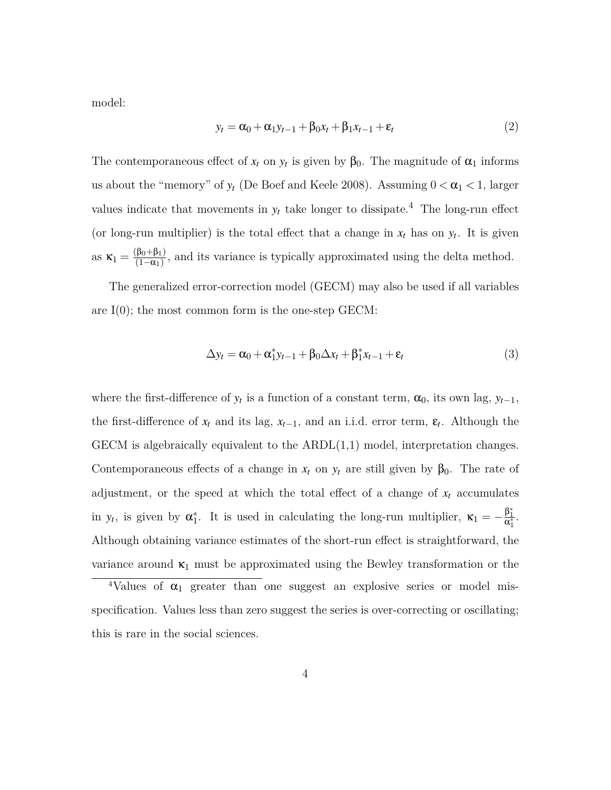model:

$$
y_t = \alpha_0 + \alpha_1 y_{t-1} + \beta_0 x_t + \beta_1 x_{t-1} + \varepsilon_t
$$
\n<sup>(2)</sup>

The contemporaneous effect of  $x_t$  on  $y_t$  is given by  $\beta_0$ . The magnitude of  $\alpha_1$  informs us about the "memory" of  $y_t$  (De Boef and Keele 2008). Assuming  $0 < \alpha_1 < 1$ , larger values indicate that movements in  $y_t$  take longer to dissipate.<sup>4</sup> The long-run effect (or long-run multiplier) is the total effect that a change in  $x_t$  has on  $y_t$ . It is given as  $\kappa_1 = \frac{(\beta_0 + \beta_1)}{(1 - \alpha_1)}$  $\frac{p_0+p_1}{(1-\alpha_1)}$ , and its variance is typically approximated using the delta method.

The generalized error-correction model (GECM) may also be used if all variables are I(0); the most common form is the one-step GECM:

$$
\Delta y_t = \alpha_0 + \alpha_1^* y_{t-1} + \beta_0 \Delta x_t + \beta_1^* x_{t-1} + \varepsilon_t
$$
\n(3)

where the first-difference of  $y_t$  is a function of a constant term,  $\alpha_0$ , its own lag,  $y_{t-1}$ , the first-difference of  $x_t$  and its lag,  $x_{t-1}$ , and an i.i.d. error term,  $\varepsilon_t$ . Although the  $GECM$  is algebraically equivalent to the  $ARDL(1,1)$  model, interpretation changes. Contemporaneous effects of a change in  $x_t$  on  $y_t$  are still given by  $\beta_0$ . The rate of adjustment, or the speed at which the total effect of a change of  $x_t$  accumulates in *y*<sub>*t*</sub>, is given by  $\alpha_1^*$ . It is used in calculating the long-run multiplier,  $\kappa_1 = -\frac{\beta_1^*}{\alpha_1^*}$ . Although obtaining variance estimates of the short-run effect is straightforward, the variance around  $\kappa_1$  must be approximated using the Bewley transformation or the

<sup>&</sup>lt;sup>4</sup>Values of  $\alpha_1$  greater than one suggest an explosive series or model misspecification. Values less than zero suggest the series is over-correcting or oscillating; this is rare in the social sciences.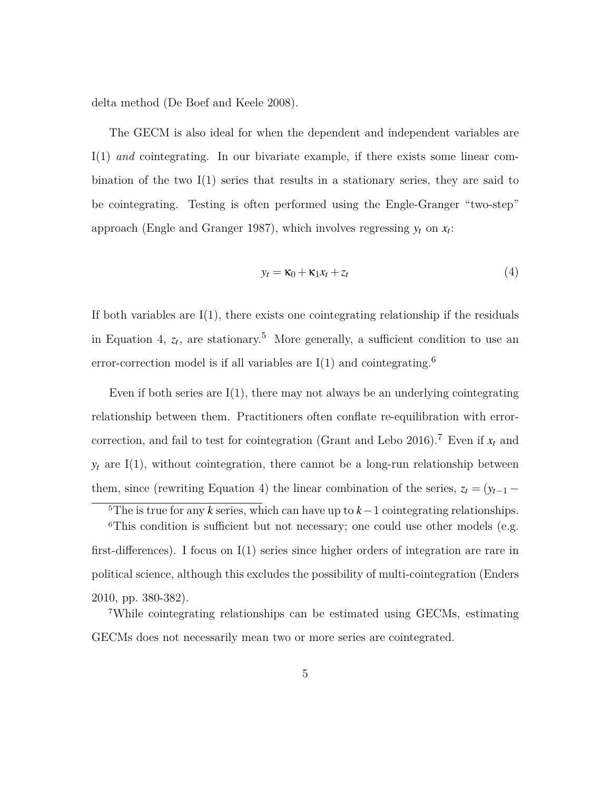delta method (De Boef and Keele 2008).

The GECM is also ideal for when the dependent and independent variables are I(1) *and* cointegrating. In our bivariate example, if there exists some linear combination of the two I(1) series that results in a stationary series, they are said to be cointegrating. Testing is often performed using the Engle-Granger "two-step" approach (Engle and Granger 1987), which involves regressing  $y_t$  on  $x_t$ :

$$
y_t = \kappa_0 + \kappa_1 x_t + z_t \tag{4}
$$

If both variables are  $I(1)$ , there exists one cointegrating relationship if the residuals in Equation 4,  $z_t$ , are stationary.<sup>5</sup> More generally, a sufficient condition to use an error-correction model is if all variables are  $I(1)$  and cointegrating.<sup>6</sup>

Even if both series are  $I(1)$ , there may not always be an underlying cointegrating relationship between them. Practitioners often conflate re-equilibration with errorcorrection, and fail to test for cointegration (Grant and Lebo 2016).<sup>7</sup> Even if  $x_t$  and  $y_t$  are I(1), without cointegration, there cannot be a long-run relationship between them, since (rewriting Equation 4) the linear combination of the series,  $z_t = (y_{t-1} -$ 

<sup>&</sup>lt;sup>5</sup>The is true for any *k* series, which can have up to  $k-1$  cointegrating relationships.

<sup>&</sup>lt;sup>6</sup>This condition is sufficient but not necessary; one could use other models (e.g. first-differences). I focus on I(1) series since higher orders of integration are rare in political science, although this excludes the possibility of multi-cointegration (Enders 2010, pp. 380-382).

<sup>7</sup>While cointegrating relationships can be estimated using GECMs, estimating GECMs does not necessarily mean two or more series are cointegrated.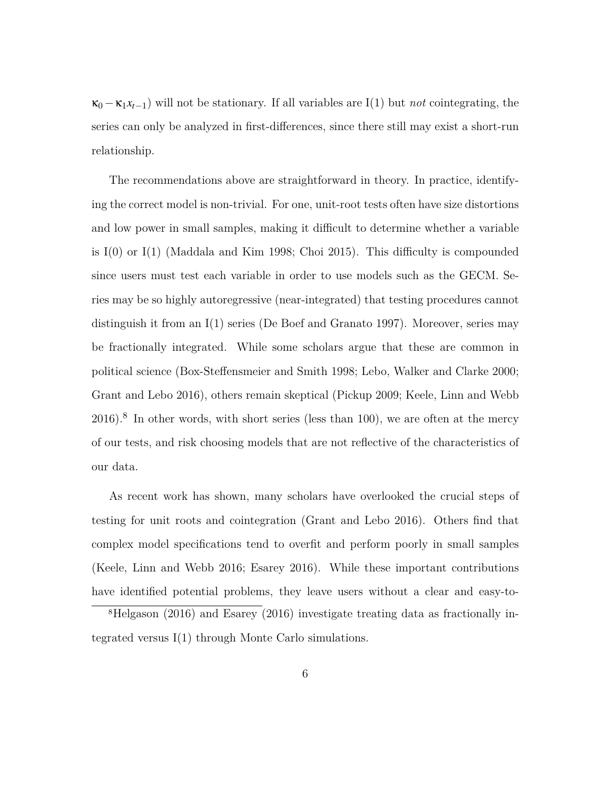$\kappa_0 - \kappa_1 x_{t-1}$ ) will not be stationary. If all variables are I(1) but *not* cointegrating, the series can only be analyzed in first-differences, since there still may exist a short-run relationship.

The recommendations above are straightforward in theory. In practice, identifying the correct model is non-trivial. For one, unit-root tests often have size distortions and low power in small samples, making it difficult to determine whether a variable is  $I(0)$  or  $I(1)$  (Maddala and Kim 1998; Choi 2015). This difficulty is compounded since users must test each variable in order to use models such as the GECM. Series may be so highly autoregressive (near-integrated) that testing procedures cannot distinguish it from an I(1) series (De Boef and Granato 1997). Moreover, series may be fractionally integrated. While some scholars argue that these are common in political science (Box-Steffensmeier and Smith 1998; Lebo, Walker and Clarke 2000; Grant and Lebo 2016), others remain skeptical (Pickup 2009; Keele, Linn and Webb  $2016$ .<sup>8</sup> In other words, with short series (less than 100), we are often at the mercy of our tests, and risk choosing models that are not reflective of the characteristics of our data.

As recent work has shown, many scholars have overlooked the crucial steps of testing for unit roots and cointegration (Grant and Lebo 2016). Others find that complex model specifications tend to overfit and perform poorly in small samples (Keele, Linn and Webb 2016; Esarey 2016). While these important contributions have identified potential problems, they leave users without a clear and easy-to-

<sup>8</sup>Helgason (2016) and Esarey (2016) investigate treating data as fractionally integrated versus I(1) through Monte Carlo simulations.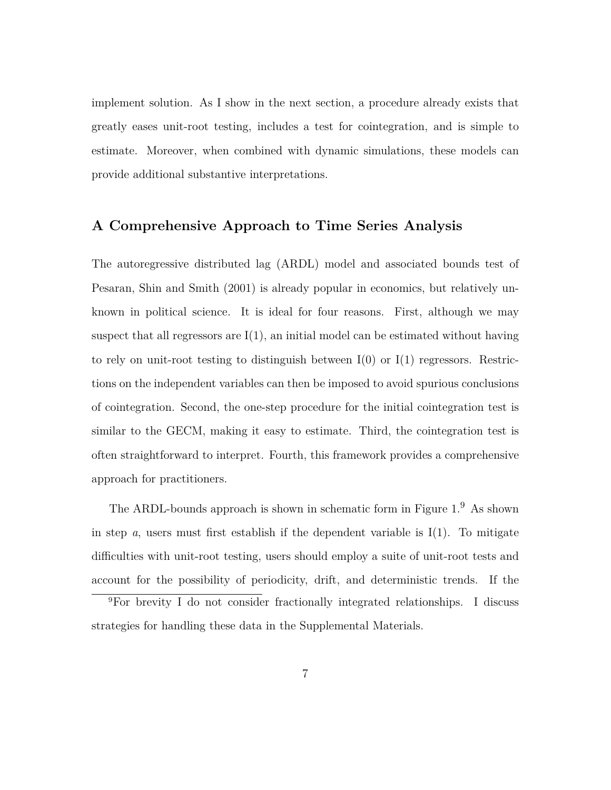implement solution. As I show in the next section, a procedure already exists that greatly eases unit-root testing, includes a test for cointegration, and is simple to estimate. Moreover, when combined with dynamic simulations, these models can provide additional substantive interpretations.

### **A Comprehensive Approach to Time Series Analysis**

The autoregressive distributed lag (ARDL) model and associated bounds test of Pesaran, Shin and Smith (2001) is already popular in economics, but relatively unknown in political science. It is ideal for four reasons. First, although we may suspect that all regressors are  $I(1)$ , an initial model can be estimated without having to rely on unit-root testing to distinguish between  $I(0)$  or  $I(1)$  regressors. Restrictions on the independent variables can then be imposed to avoid spurious conclusions of cointegration. Second, the one-step procedure for the initial cointegration test is similar to the GECM, making it easy to estimate. Third, the cointegration test is often straightforward to interpret. Fourth, this framework provides a comprehensive approach for practitioners.

The ARDL-bounds approach is shown in schematic form in Figure 1.<sup>9</sup> As shown in step *a*, users must first establish if the dependent variable is  $I(1)$ . To mitigate difficulties with unit-root testing, users should employ a suite of unit-root tests and account for the possibility of periodicity, drift, and deterministic trends. If the

<sup>9</sup>For brevity I do not consider fractionally integrated relationships. I discuss strategies for handling these data in the Supplemental Materials.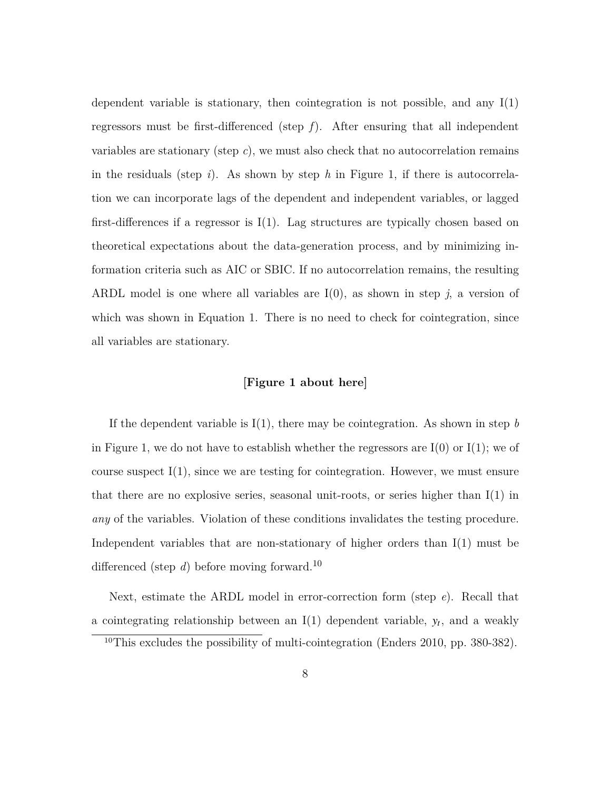dependent variable is stationary, then cointegration is not possible, and any  $I(1)$ regressors must be first-differenced (step *f*). After ensuring that all independent variables are stationary (step *c*), we must also check that no autocorrelation remains in the residuals (step *i*). As shown by step *h* in Figure 1, if there is autocorrelation we can incorporate lags of the dependent and independent variables, or lagged first-differences if a regressor is  $I(1)$ . Lag structures are typically chosen based on theoretical expectations about the data-generation process, and by minimizing information criteria such as AIC or SBIC. If no autocorrelation remains, the resulting ARDL model is one where all variables are  $I(0)$ , as shown in step  $j$ , a version of which was shown in Equation 1. There is no need to check for cointegration, since all variables are stationary.

#### **[Figure 1 about here]**

If the dependent variable is  $I(1)$ , there may be cointegration. As shown in step *b* in Figure 1, we do not have to establish whether the regressors are  $I(0)$  or  $I(1)$ ; we of course suspect  $I(1)$ , since we are testing for cointegration. However, we must ensure that there are no explosive series, seasonal unit-roots, or series higher than  $I(1)$  in *any* of the variables. Violation of these conditions invalidates the testing procedure. Independent variables that are non-stationary of higher orders than  $I(1)$  must be differenced (step *d*) before moving forward.<sup>10</sup>

Next, estimate the ARDL model in error-correction form (step *e*). Recall that a cointegrating relationship between an  $I(1)$  dependent variable,  $y_t$ , and a weakly

<sup>&</sup>lt;sup>10</sup>This excludes the possibility of multi-cointegration (Enders 2010, pp. 380-382).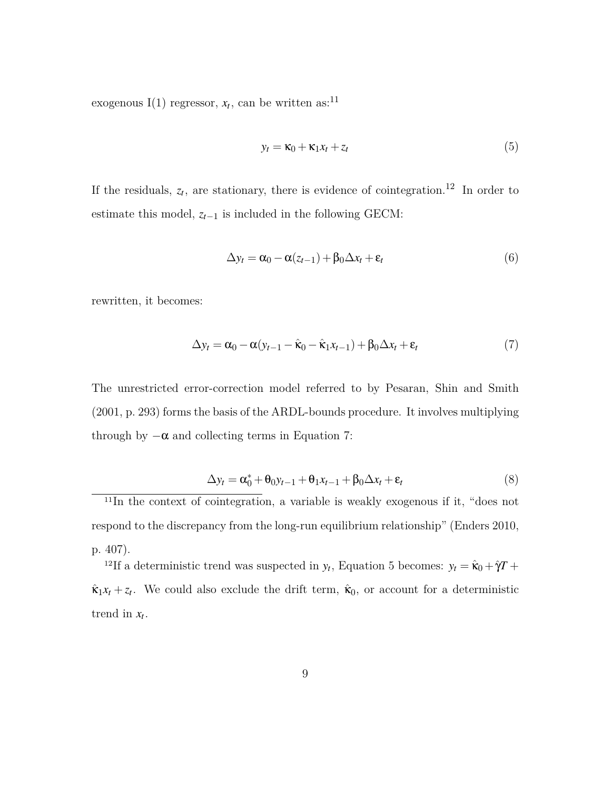exogenous I(1) regressor,  $x_t$ , can be written as:<sup>11</sup>

$$
y_t = \kappa_0 + \kappa_1 x_t + z_t \tag{5}
$$

If the residuals,  $z_t$ , are stationary, there is evidence of cointegration.<sup>12</sup> In order to estimate this model, *zt−*<sup>1</sup> is included in the following GECM:

$$
\Delta y_t = \alpha_0 - \alpha (z_{t-1}) + \beta_0 \Delta x_t + \varepsilon_t \tag{6}
$$

rewritten, it becomes:

$$
\Delta y_t = \alpha_0 - \alpha (y_{t-1} - \hat{\kappa}_0 - \hat{\kappa}_1 x_{t-1}) + \beta_0 \Delta x_t + \varepsilon_t \tag{7}
$$

The unrestricted error-correction model referred to by Pesaran, Shin and Smith (2001, p. 293) forms the basis of the ARDL-bounds procedure. It involves multiplying through by  $-\alpha$  and collecting terms in Equation 7:

$$
\Delta y_t = \alpha_0^* + \theta_0 y_{t-1} + \theta_1 x_{t-1} + \beta_0 \Delta x_t + \varepsilon_t
$$
\n(8)

 $11$ In the context of cointegration, a variable is weakly exogenous if it, "does not respond to the discrepancy from the long-run equilibrium relationship" (Enders 2010, p. 407).

<sup>12</sup>If a deterministic trend was suspected in  $y_t$ , Equation 5 becomes:  $y_t = \hat{\mathbf{k}}_0 + \hat{\gamma}T + \hat{\mathbf{k}}_0$  $\hat{\mathbf{k}}_1 x_t + z_t$ . We could also exclude the drift term,  $\hat{\mathbf{k}}_0$ , or account for a deterministic trend in  $x_t$ .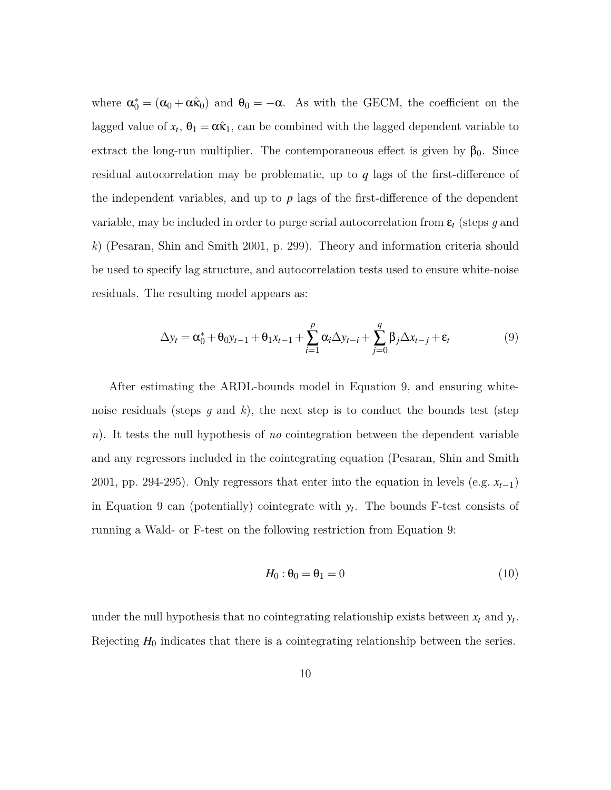where  $\alpha_0^* = (\alpha_0 + \alpha \hat{\kappa}_0)$  and  $\theta_0 = -\alpha$ . As with the GECM, the coefficient on the lagged value of  $x_t$ ,  $\theta_1 = \alpha \hat{\kappa}_1$ , can be combined with the lagged dependent variable to extract the long-run multiplier. The contemporaneous effect is given by  $\beta_0$ . Since residual autocorrelation may be problematic, up to *q* lags of the first-difference of the independent variables, and up to *p* lags of the first-difference of the dependent variable, may be included in order to purge serial autocorrelation from ε*<sup>t</sup>* (steps *g* and *k*) (Pesaran, Shin and Smith 2001, p. 299). Theory and information criteria should be used to specify lag structure, and autocorrelation tests used to ensure white-noise residuals. The resulting model appears as:

$$
\Delta y_t = \alpha_0^* + \theta_0 y_{t-1} + \theta_1 x_{t-1} + \sum_{i=1}^p \alpha_i \Delta y_{t-i} + \sum_{j=0}^q \beta_j \Delta x_{t-j} + \varepsilon_t
$$
\n(9)

After estimating the ARDL-bounds model in Equation 9, and ensuring whitenoise residuals (steps *g* and *k*), the next step is to conduct the bounds test (step *n*). It tests the null hypothesis of *no* cointegration between the dependent variable and any regressors included in the cointegrating equation (Pesaran, Shin and Smith 2001, pp. 294-295). Only regressors that enter into the equation in levels (e.g. *xt−*1) in Equation 9 can (potentially) cointegrate with  $y_t$ . The bounds F-test consists of running a Wald- or F-test on the following restriction from Equation 9:

$$
H_0: \theta_0 = \theta_1 = 0 \tag{10}
$$

under the null hypothesis that no cointegrating relationship exists between  $x_t$  and  $y_t$ . Rejecting  $H_0$  indicates that there is a cointegrating relationship between the series.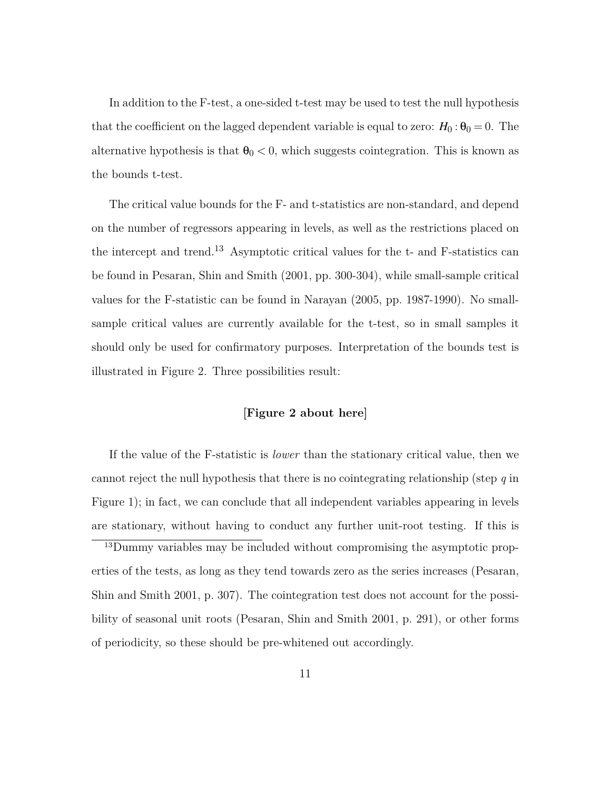In addition to the F-test, a one-sided t-test may be used to test the null hypothesis that the coefficient on the lagged dependent variable is equal to zero:  $H_0: \theta_0 = 0$ . The alternative hypothesis is that  $\theta_0 < 0$ , which suggests cointegration. This is known as the bounds t-test.

The critical value bounds for the F- and t-statistics are non-standard, and depend on the number of regressors appearing in levels, as well as the restrictions placed on the intercept and trend.13 Asymptotic critical values for the t- and F-statistics can be found in Pesaran, Shin and Smith (2001, pp. 300-304), while small-sample critical values for the F-statistic can be found in Narayan (2005, pp. 1987-1990). No smallsample critical values are currently available for the t-test, so in small samples it should only be used for confirmatory purposes. Interpretation of the bounds test is illustrated in Figure 2. Three possibilities result:

### **[Figure 2 about here]**

If the value of the F-statistic is *lower* than the stationary critical value, then we cannot reject the null hypothesis that there is no cointegrating relationship (step *q* in Figure 1); in fact, we can conclude that all independent variables appearing in levels are stationary, without having to conduct any further unit-root testing. If this is

13Dummy variables may be included without compromising the asymptotic properties of the tests, as long as they tend towards zero as the series increases (Pesaran, Shin and Smith 2001, p. 307). The cointegration test does not account for the possibility of seasonal unit roots (Pesaran, Shin and Smith 2001, p. 291), or other forms of periodicity, so these should be pre-whitened out accordingly.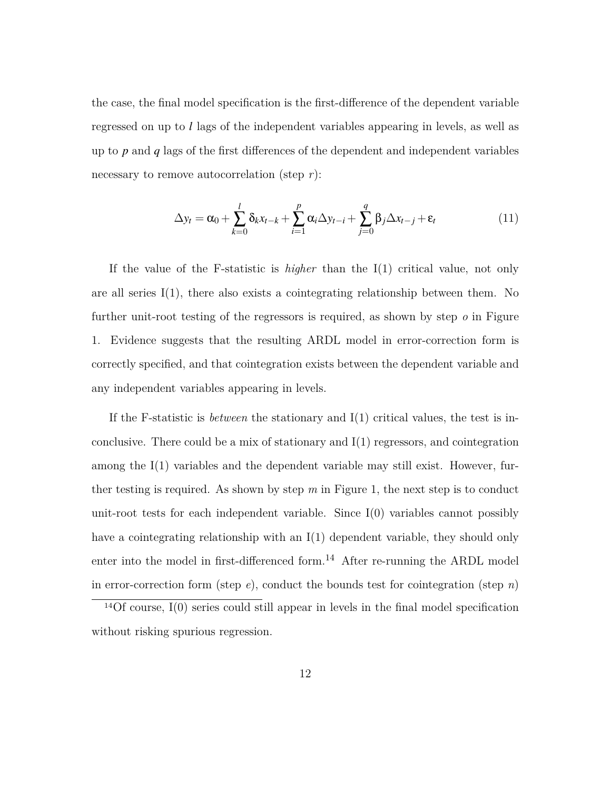the case, the final model specification is the first-difference of the dependent variable regressed on up to *l* lags of the independent variables appearing in levels, as well as up to *p* and *q* lags of the first differences of the dependent and independent variables necessary to remove autocorrelation (step *r*):

$$
\Delta y_t = \alpha_0 + \sum_{k=0}^l \delta_k x_{t-k} + \sum_{i=1}^p \alpha_i \Delta y_{t-i} + \sum_{j=0}^q \beta_j \Delta x_{t-j} + \varepsilon_t
$$
\n(11)

If the value of the F-statistic is *higher* than the I(1) critical value, not only are all series  $I(1)$ , there also exists a cointegrating relationship between them. No further unit-root testing of the regressors is required, as shown by step *o* in Figure 1. Evidence suggests that the resulting ARDL model in error-correction form is correctly specified, and that cointegration exists between the dependent variable and any independent variables appearing in levels.

If the F-statistic is *between* the stationary and I(1) critical values, the test is inconclusive. There could be a mix of stationary and  $I(1)$  regressors, and cointegration among the I(1) variables and the dependent variable may still exist. However, further testing is required. As shown by step  $m$  in Figure 1, the next step is to conduct unit-root tests for each independent variable. Since  $I(0)$  variables cannot possibly have a cointegrating relationship with an  $I(1)$  dependent variable, they should only enter into the model in first-differenced form.<sup>14</sup> After re-running the ARDL model in error-correction form (step *e*), conduct the bounds test for cointegration (step *n*)

 $14$ Of course, I(0) series could still appear in levels in the final model specification without risking spurious regression.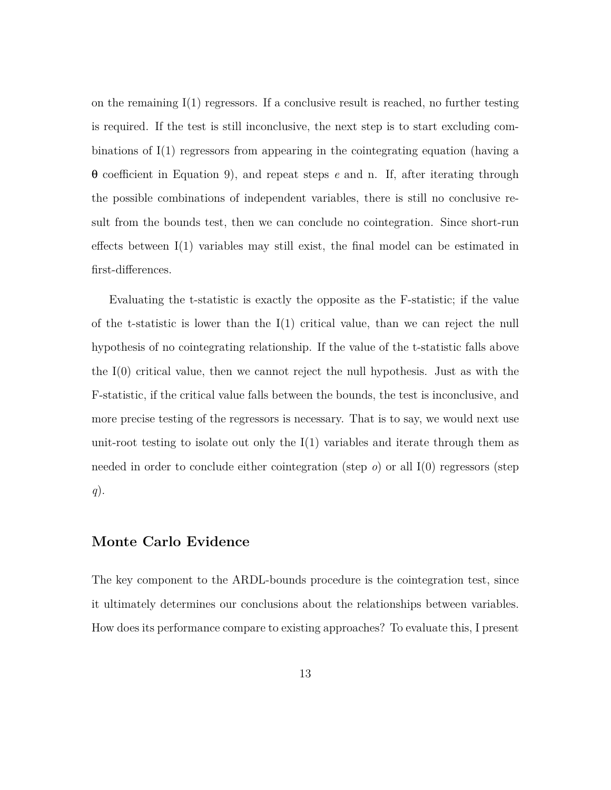on the remaining  $I(1)$  regressors. If a conclusive result is reached, no further testing is required. If the test is still inconclusive, the next step is to start excluding combinations of I(1) regressors from appearing in the cointegrating equation (having a θ coefficient in Equation 9), and repeat steps *e* and n. If, after iterating through the possible combinations of independent variables, there is still no conclusive result from the bounds test, then we can conclude no cointegration. Since short-run effects between I(1) variables may still exist, the final model can be estimated in first-differences.

Evaluating the t-statistic is exactly the opposite as the F-statistic; if the value of the t-statistic is lower than the  $I(1)$  critical value, than we can reject the null hypothesis of no cointegrating relationship. If the value of the t-statistic falls above the I(0) critical value, then we cannot reject the null hypothesis. Just as with the F-statistic, if the critical value falls between the bounds, the test is inconclusive, and more precise testing of the regressors is necessary. That is to say, we would next use unit-root testing to isolate out only the  $I(1)$  variables and iterate through them as needed in order to conclude either cointegration (step *o*) or all I(0) regressors (step *q*).

### **Monte Carlo Evidence**

The key component to the ARDL-bounds procedure is the cointegration test, since it ultimately determines our conclusions about the relationships between variables. How does its performance compare to existing approaches? To evaluate this, I present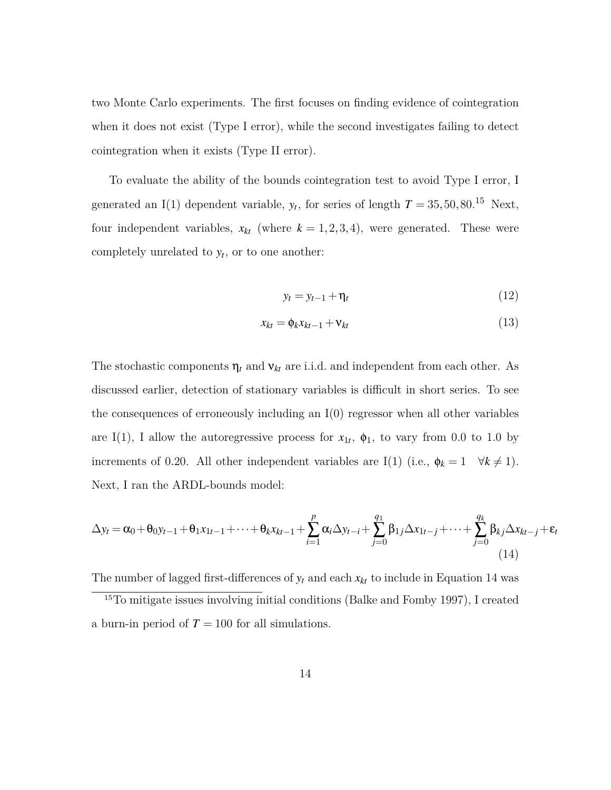two Monte Carlo experiments. The first focuses on finding evidence of cointegration when it does not exist (Type I error), while the second investigates failing to detect cointegration when it exists (Type II error).

To evaluate the ability of the bounds cointegration test to avoid Type I error, I generated an I(1) dependent variable,  $y_t$ , for series of length  $T = 35, 50, 80$ .<sup>15</sup> Next, four independent variables,  $x_{kt}$  (where  $k = 1, 2, 3, 4$ ), were generated. These were completely unrelated to  $y_t$ , or to one another:

$$
y_t = y_{t-1} + \eta_t \tag{12}
$$

$$
x_{kt} = \phi_k x_{kt-1} + \mathbf{v}_{kt} \tag{13}
$$

The stochastic components  $\eta_t$  and  $v_{kt}$  are i.i.d. and independent from each other. As discussed earlier, detection of stationary variables is difficult in short series. To see the consequences of erroneously including an  $I(0)$  regressor when all other variables are I(1), I allow the autoregressive process for  $x_{1t}$ ,  $\phi_1$ , to vary from 0.0 to 1.0 by increments of 0.20. All other independent variables are I(1) (i.e.,  $\phi_k = 1 \quad \forall k \neq 1$ ). Next, I ran the ARDL-bounds model:

$$
\Delta y_t = \alpha_0 + \theta_0 y_{t-1} + \theta_1 x_{1t-1} + \dots + \theta_k x_{kt-1} + \sum_{i=1}^p \alpha_i \Delta y_{t-i} + \sum_{j=0}^{q_1} \beta_{1j} \Delta x_{1t-j} + \dots + \sum_{j=0}^{q_k} \beta_{kj} \Delta x_{kt-j} + \varepsilon_t
$$
\n(14)

The number of lagged first-differences of  $y_t$  and each  $x_{kt}$  to include in Equation 14 was

<sup>15</sup>To mitigate issues involving initial conditions (Balke and Fomby 1997), I created a burn-in period of  $T = 100$  for all simulations.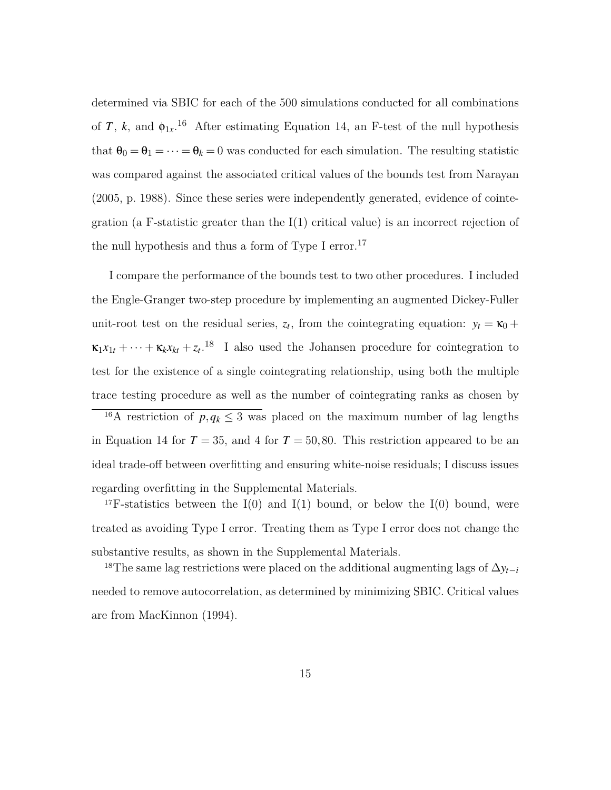determined via SBIC for each of the 500 simulations conducted for all combinations of *T*, *k*, and  $\phi_{1x}$ <sup>16</sup> After estimating Equation 14, an F-test of the null hypothesis that  $\theta_0 = \theta_1 = \cdots = \theta_k = 0$  was conducted for each simulation. The resulting statistic was compared against the associated critical values of the bounds test from Narayan (2005, p. 1988). Since these series were independently generated, evidence of cointegration (a F-statistic greater than the  $I(1)$  critical value) is an incorrect rejection of the null hypothesis and thus a form of Type I error.<sup>17</sup>

I compare the performance of the bounds test to two other procedures. I included the Engle-Granger two-step procedure by implementing an augmented Dickey-Fuller unit-root test on the residual series,  $z_t$ , from the cointegrating equation:  $y_t = \kappa_0 +$  $\kappa_1 x_{1t} + \cdots + \kappa_k x_{kt} + z_t$ <sup>18</sup> I also used the Johansen procedure for cointegration to test for the existence of a single cointegrating relationship, using both the multiple trace testing procedure as well as the number of cointegrating ranks as chosen by

<sup>16</sup>A restriction of  $p, q_k \leq 3$  was placed on the maximum number of lag lengths in Equation 14 for  $T = 35$ , and 4 for  $T = 50, 80$ . This restriction appeared to be an ideal trade-off between overfitting and ensuring white-noise residuals; I discuss issues regarding overfitting in the Supplemental Materials.

<sup>17</sup>F-statistics between the I(0) and I(1) bound, or below the I(0) bound, were treated as avoiding Type I error. Treating them as Type I error does not change the substantive results, as shown in the Supplemental Materials.

<sup>18</sup>The same lag restrictions were placed on the additional augmenting lags of  $\Delta y$ <sup>*t−i*</sub></sup> needed to remove autocorrelation, as determined by minimizing SBIC. Critical values are from MacKinnon (1994).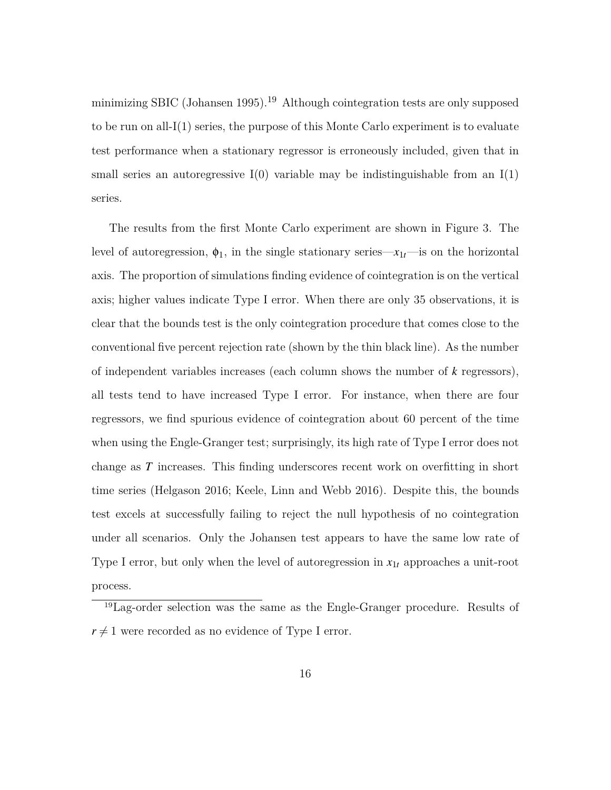minimizing SBIC (Johansen 1995).<sup>19</sup> Although cointegration tests are only supposed to be run on all- $I(1)$  series, the purpose of this Monte Carlo experiment is to evaluate test performance when a stationary regressor is erroneously included, given that in small series an autoregressive  $I(0)$  variable may be indistinguishable from an  $I(1)$ series.

The results from the first Monte Carlo experiment are shown in Figure 3. The level of autoregression,  $\phi_1$ , in the single stationary series— $x_{1t}$ —is on the horizontal axis. The proportion of simulations finding evidence of cointegration is on the vertical axis; higher values indicate Type I error. When there are only 35 observations, it is clear that the bounds test is the only cointegration procedure that comes close to the conventional five percent rejection rate (shown by the thin black line). As the number of independent variables increases (each column shows the number of *k* regressors), all tests tend to have increased Type I error. For instance, when there are four regressors, we find spurious evidence of cointegration about 60 percent of the time when using the Engle-Granger test; surprisingly, its high rate of Type I error does not change as *T* increases. This finding underscores recent work on overfitting in short time series (Helgason 2016; Keele, Linn and Webb 2016). Despite this, the bounds test excels at successfully failing to reject the null hypothesis of no cointegration under all scenarios. Only the Johansen test appears to have the same low rate of Type I error, but only when the level of autoregression in  $x_{1t}$  approaches a unit-root process.

<sup>19</sup>Lag-order selection was the same as the Engle-Granger procedure. Results of  $r \neq 1$  were recorded as no evidence of Type I error.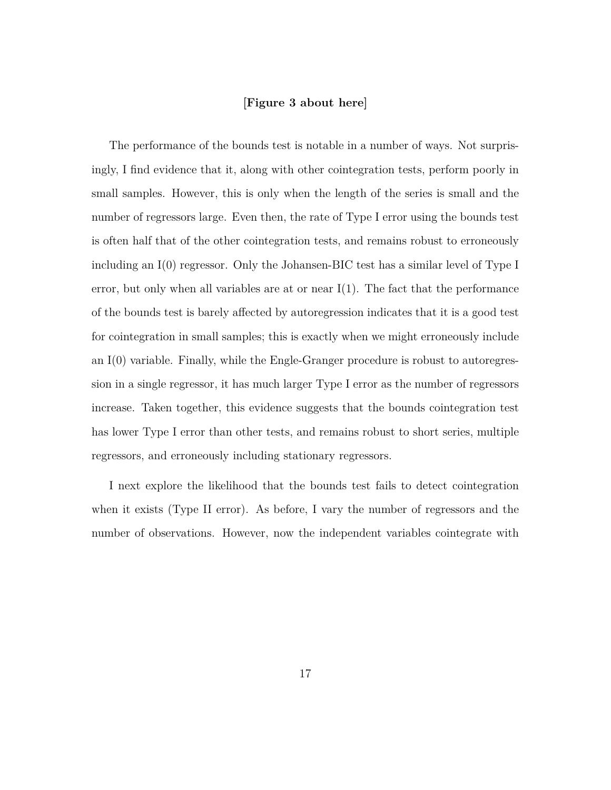### **[Figure 3 about here]**

The performance of the bounds test is notable in a number of ways. Not surprisingly, I find evidence that it, along with other cointegration tests, perform poorly in small samples. However, this is only when the length of the series is small and the number of regressors large. Even then, the rate of Type I error using the bounds test is often half that of the other cointegration tests, and remains robust to erroneously including an I(0) regressor. Only the Johansen-BIC test has a similar level of Type I error, but only when all variables are at or near  $I(1)$ . The fact that the performance of the bounds test is barely affected by autoregression indicates that it is a good test for cointegration in small samples; this is exactly when we might erroneously include an I(0) variable. Finally, while the Engle-Granger procedure is robust to autoregression in a single regressor, it has much larger Type I error as the number of regressors increase. Taken together, this evidence suggests that the bounds cointegration test has lower Type I error than other tests, and remains robust to short series, multiple regressors, and erroneously including stationary regressors.

I next explore the likelihood that the bounds test fails to detect cointegration when it exists (Type II error). As before, I vary the number of regressors and the number of observations. However, now the independent variables cointegrate with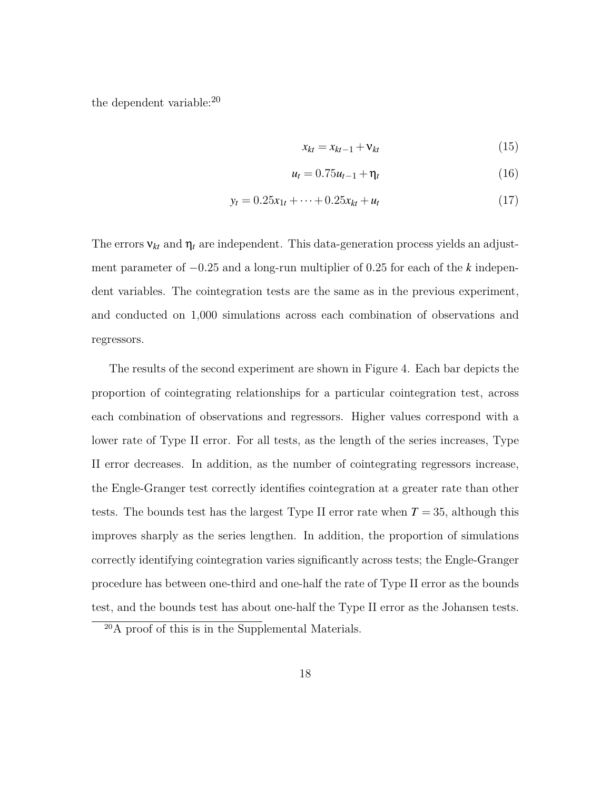the dependent variable:20

$$
x_{kt} = x_{kt-1} + \mathbf{v}_{kt} \tag{15}
$$

$$
u_t = 0.75u_{t-1} + \eta_t \tag{16}
$$

$$
y_t = 0.25x_{1t} + \dots + 0.25x_{kt} + u_t \tag{17}
$$

The errors  ${\bf v}_{kt}$  and  ${\bf \eta}_t$  are independent. This data-generation process yields an adjustment parameter of *−*0*.*25 and a long-run multiplier of 0*.*25 for each of the *k* independent variables. The cointegration tests are the same as in the previous experiment, and conducted on 1,000 simulations across each combination of observations and regressors.

The results of the second experiment are shown in Figure 4. Each bar depicts the proportion of cointegrating relationships for a particular cointegration test, across each combination of observations and regressors. Higher values correspond with a lower rate of Type II error. For all tests, as the length of the series increases, Type II error decreases. In addition, as the number of cointegrating regressors increase, the Engle-Granger test correctly identifies cointegration at a greater rate than other tests. The bounds test has the largest Type II error rate when  $T = 35$ , although this improves sharply as the series lengthen. In addition, the proportion of simulations correctly identifying cointegration varies significantly across tests; the Engle-Granger procedure has between one-third and one-half the rate of Type II error as the bounds test, and the bounds test has about one-half the Type II error as the Johansen tests.

<sup>20</sup>A proof of this is in the Supplemental Materials.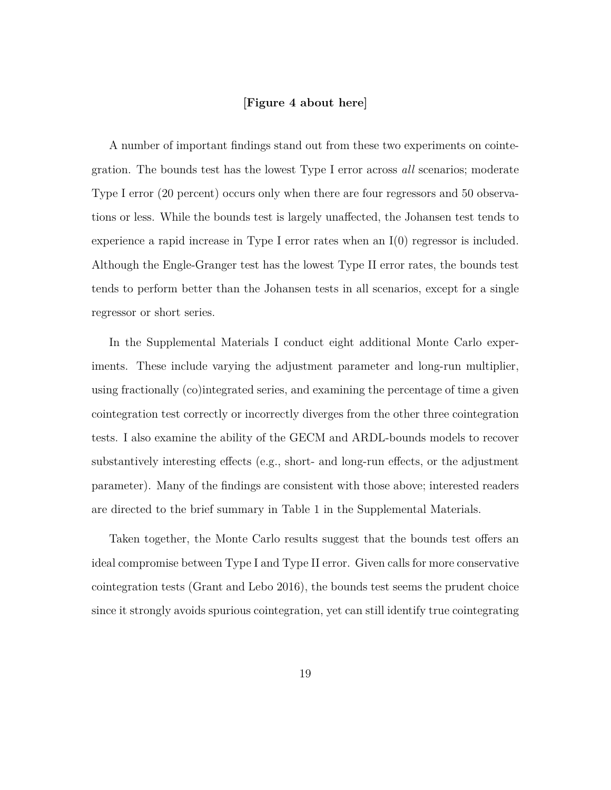### **[Figure 4 about here]**

A number of important findings stand out from these two experiments on cointegration. The bounds test has the lowest Type I error across *all* scenarios; moderate Type I error (20 percent) occurs only when there are four regressors and 50 observations or less. While the bounds test is largely unaffected, the Johansen test tends to experience a rapid increase in Type I error rates when an I(0) regressor is included. Although the Engle-Granger test has the lowest Type II error rates, the bounds test tends to perform better than the Johansen tests in all scenarios, except for a single regressor or short series.

In the Supplemental Materials I conduct eight additional Monte Carlo experiments. These include varying the adjustment parameter and long-run multiplier, using fractionally (co)integrated series, and examining the percentage of time a given cointegration test correctly or incorrectly diverges from the other three cointegration tests. I also examine the ability of the GECM and ARDL-bounds models to recover substantively interesting effects (e.g., short- and long-run effects, or the adjustment parameter). Many of the findings are consistent with those above; interested readers are directed to the brief summary in Table 1 in the Supplemental Materials.

Taken together, the Monte Carlo results suggest that the bounds test offers an ideal compromise between Type I and Type II error. Given calls for more conservative cointegration tests (Grant and Lebo 2016), the bounds test seems the prudent choice since it strongly avoids spurious cointegration, yet can still identify true cointegrating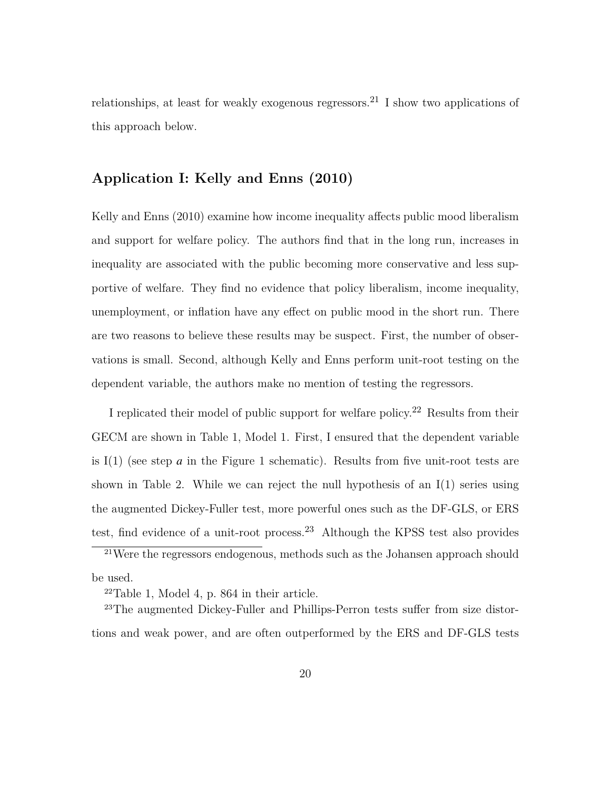relationships, at least for weakly exogenous regressors.<sup>21</sup> I show two applications of this approach below.

### **Application I: Kelly and Enns (2010)**

Kelly and Enns (2010) examine how income inequality affects public mood liberalism and support for welfare policy. The authors find that in the long run, increases in inequality are associated with the public becoming more conservative and less supportive of welfare. They find no evidence that policy liberalism, income inequality, unemployment, or inflation have any effect on public mood in the short run. There are two reasons to believe these results may be suspect. First, the number of observations is small. Second, although Kelly and Enns perform unit-root testing on the dependent variable, the authors make no mention of testing the regressors.

I replicated their model of public support for welfare policy.22 Results from their GECM are shown in Table 1, Model 1. First, I ensured that the dependent variable is  $I(1)$  (see step *a* in the Figure 1 schematic). Results from five unit-root tests are shown in Table 2. While we can reject the null hypothesis of an  $I(1)$  series using the augmented Dickey-Fuller test, more powerful ones such as the DF-GLS, or ERS test, find evidence of a unit-root process.<sup>23</sup> Although the KPSS test also provides

<sup>21</sup>Were the regressors endogenous, methods such as the Johansen approach should be used.

<sup>22</sup>Table 1, Model 4, p. 864 in their article.

<sup>23</sup>The augmented Dickey-Fuller and Phillips-Perron tests suffer from size distortions and weak power, and are often outperformed by the ERS and DF-GLS tests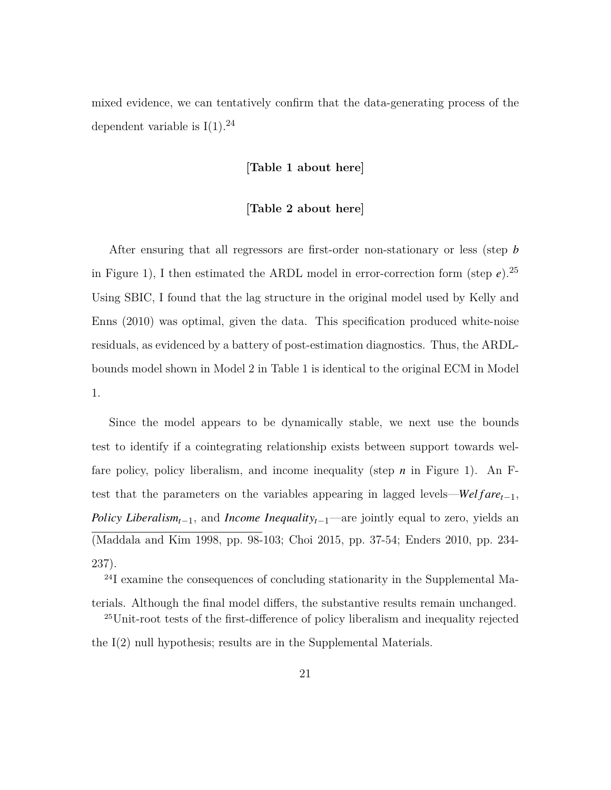mixed evidence, we can tentatively confirm that the data-generating process of the dependent variable is  $I(1).^{24}$ 

### **[Table 1 about here]**

### **[Table 2 about here]**

After ensuring that all regressors are first-order non-stationary or less (step *b* in Figure 1), I then estimated the ARDL model in error-correction form (step  $e$ ).<sup>25</sup> Using SBIC, I found that the lag structure in the original model used by Kelly and Enns (2010) was optimal, given the data. This specification produced white-noise residuals, as evidenced by a battery of post-estimation diagnostics. Thus, the ARDLbounds model shown in Model 2 in Table 1 is identical to the original ECM in Model 1.

Since the model appears to be dynamically stable, we next use the bounds test to identify if a cointegrating relationship exists between support towards welfare policy, policy liberalism, and income inequality (step *n* in Figure 1). An Ftest that the parameters on the variables appearing in lagged levels—*Wel fare*<sub> $t-1$ </sub>, *Policy Liberalism*<sub>*t*−1</sub>, and *Income Inequality*<sub>*t*−1</sub>—are jointly equal to zero, yields an (Maddala and Kim 1998, pp. 98-103; Choi 2015, pp. 37-54; Enders 2010, pp. 234- 237).

24I examine the consequences of concluding stationarity in the Supplemental Ma-

terials. Although the final model differs, the substantive results remain unchanged. <sup>25</sup>Unit-root tests of the first-difference of policy liberalism and inequality rejected the I(2) null hypothesis; results are in the Supplemental Materials.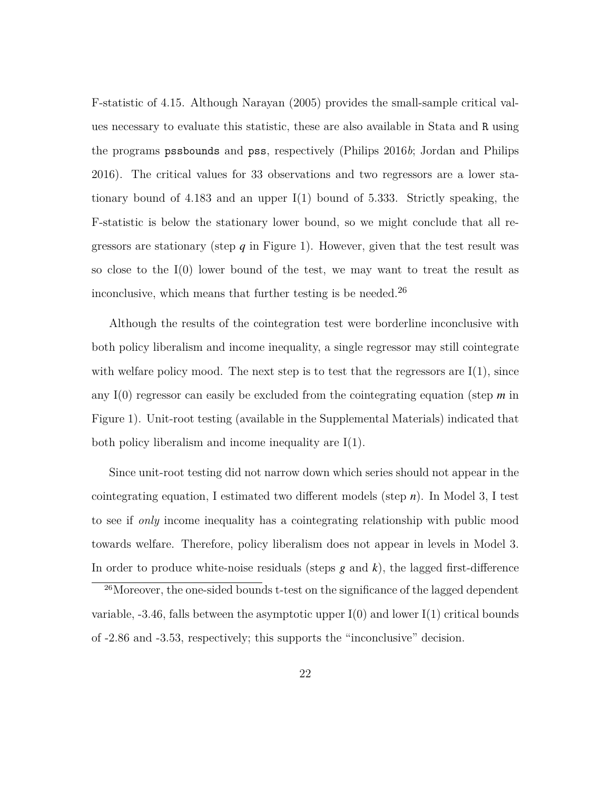F-statistic of 4.15. Although Narayan (2005) provides the small-sample critical values necessary to evaluate this statistic, these are also available in Stata and R using the programs pssbounds and pss, respectively (Philips 2016*b*; Jordan and Philips 2016). The critical values for 33 observations and two regressors are a lower stationary bound of 4.183 and an upper I(1) bound of 5.333. Strictly speaking, the F-statistic is below the stationary lower bound, so we might conclude that all regressors are stationary (step  $q$  in Figure 1). However, given that the test result was so close to the I(0) lower bound of the test, we may want to treat the result as inconclusive, which means that further testing is be needed.<sup>26</sup>

Although the results of the cointegration test were borderline inconclusive with both policy liberalism and income inequality, a single regressor may still cointegrate with welfare policy mood. The next step is to test that the regressors are  $I(1)$ , since any I(0) regressor can easily be excluded from the cointegrating equation (step *m* in Figure 1). Unit-root testing (available in the Supplemental Materials) indicated that both policy liberalism and income inequality are I(1).

Since unit-root testing did not narrow down which series should not appear in the cointegrating equation, I estimated two different models (step *n*). In Model 3, I test to see if *only* income inequality has a cointegrating relationship with public mood towards welfare. Therefore, policy liberalism does not appear in levels in Model 3. In order to produce white-noise residuals (steps  $g$  and  $k$ ), the lagged first-difference

<sup>26</sup>Moreover, the one-sided bounds t-test on the significance of the lagged dependent variable,  $-3.46$ , falls between the asymptotic upper I(0) and lower I(1) critical bounds of -2.86 and -3.53, respectively; this supports the "inconclusive" decision.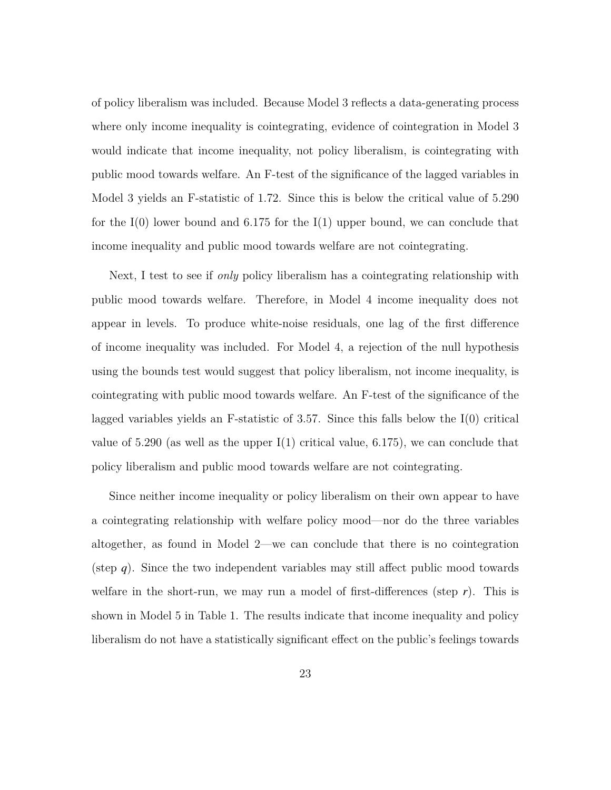of policy liberalism was included. Because Model 3 reflects a data-generating process where only income inequality is cointegrating, evidence of cointegration in Model 3 would indicate that income inequality, not policy liberalism, is cointegrating with public mood towards welfare. An F-test of the significance of the lagged variables in Model 3 yields an F-statistic of 1.72. Since this is below the critical value of 5.290 for the  $I(0)$  lower bound and 6.175 for the  $I(1)$  upper bound, we can conclude that income inequality and public mood towards welfare are not cointegrating.

Next, I test to see if *only* policy liberalism has a cointegrating relationship with public mood towards welfare. Therefore, in Model 4 income inequality does not appear in levels. To produce white-noise residuals, one lag of the first difference of income inequality was included. For Model 4, a rejection of the null hypothesis using the bounds test would suggest that policy liberalism, not income inequality, is cointegrating with public mood towards welfare. An F-test of the significance of the lagged variables yields an F-statistic of 3.57. Since this falls below the  $I(0)$  critical value of  $5.290$  (as well as the upper I(1) critical value,  $6.175$ ), we can conclude that policy liberalism and public mood towards welfare are not cointegrating.

Since neither income inequality or policy liberalism on their own appear to have a cointegrating relationship with welfare policy mood—nor do the three variables altogether, as found in Model 2—we can conclude that there is no cointegration (step *q*). Since the two independent variables may still affect public mood towards welfare in the short-run, we may run a model of first-differences (step *r*). This is shown in Model 5 in Table 1. The results indicate that income inequality and policy liberalism do not have a statistically significant effect on the public's feelings towards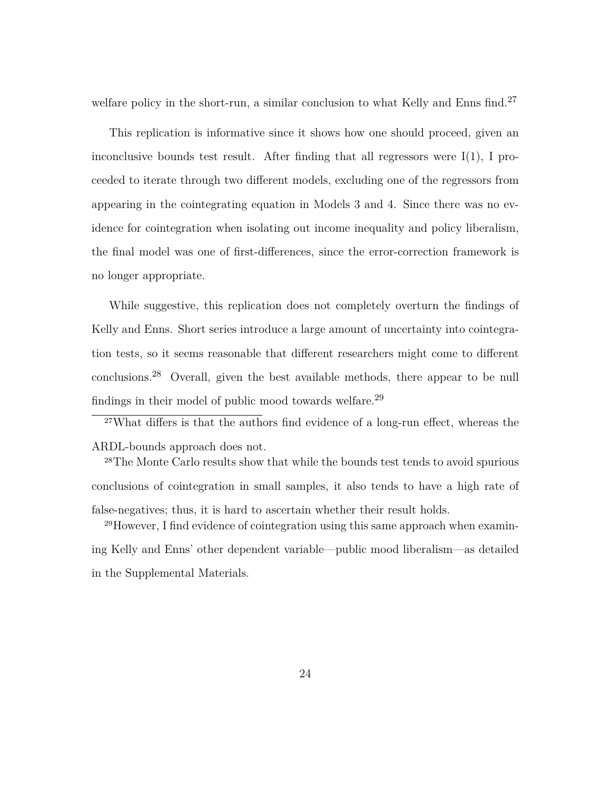welfare policy in the short-run, a similar conclusion to what Kelly and Enns find.<sup>27</sup>

This replication is informative since it shows how one should proceed, given an inconclusive bounds test result. After finding that all regressors were  $I(1)$ , I proceeded to iterate through two different models, excluding one of the regressors from appearing in the cointegrating equation in Models 3 and 4. Since there was no evidence for cointegration when isolating out income inequality and policy liberalism, the final model was one of first-differences, since the error-correction framework is no longer appropriate.

While suggestive, this replication does not completely overturn the findings of Kelly and Enns. Short series introduce a large amount of uncertainty into cointegration tests, so it seems reasonable that different researchers might come to different conclusions.28 Overall, given the best available methods, there appear to be null findings in their model of public mood towards welfare.29

<sup>27</sup>What differs is that the authors find evidence of a long-run effect, whereas the ARDL-bounds approach does not.

<sup>28</sup>The Monte Carlo results show that while the bounds test tends to avoid spurious conclusions of cointegration in small samples, it also tends to have a high rate of false-negatives; thus, it is hard to ascertain whether their result holds.

29However, I find evidence of cointegration using this same approach when examining Kelly and Enns' other dependent variable—public mood liberalism—as detailed in the Supplemental Materials.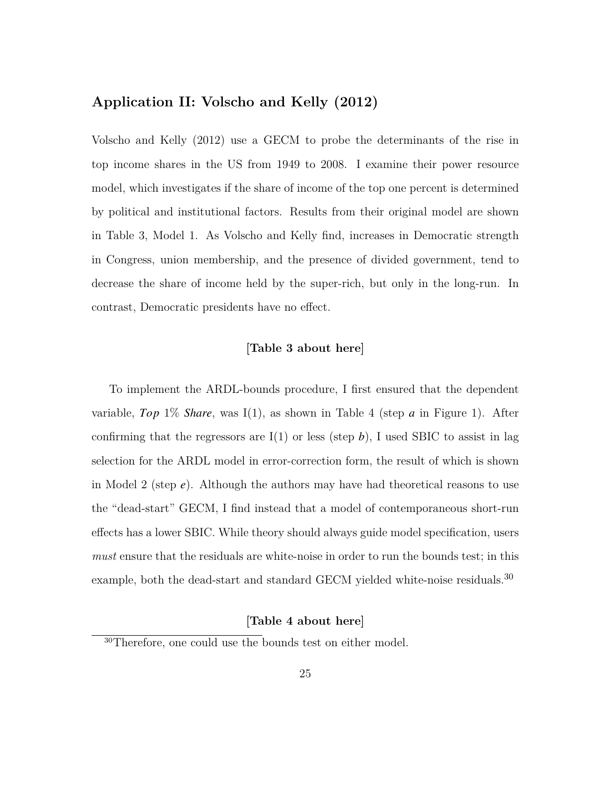### **Application II: Volscho and Kelly (2012)**

Volscho and Kelly (2012) use a GECM to probe the determinants of the rise in top income shares in the US from 1949 to 2008. I examine their power resource model, which investigates if the share of income of the top one percent is determined by political and institutional factors. Results from their original model are shown in Table 3, Model 1. As Volscho and Kelly find, increases in Democratic strength in Congress, union membership, and the presence of divided government, tend to decrease the share of income held by the super-rich, but only in the long-run. In contrast, Democratic presidents have no effect.

### **[Table 3 about here]**

To implement the ARDL-bounds procedure, I first ensured that the dependent variable, *Top* 1% *Share*, was I(1), as shown in Table 4 (step *a* in Figure 1). After confirming that the regressors are  $I(1)$  or less (step b), I used SBIC to assist in lag selection for the ARDL model in error-correction form, the result of which is shown in Model 2 (step *e*). Although the authors may have had theoretical reasons to use the "dead-start" GECM, I find instead that a model of contemporaneous short-run effects has a lower SBIC. While theory should always guide model specification, users *must* ensure that the residuals are white-noise in order to run the bounds test; in this example, both the dead-start and standard GECM yielded white-noise residuals.<sup>30</sup>

### **[Table 4 about here]**

<sup>30</sup>Therefore, one could use the bounds test on either model.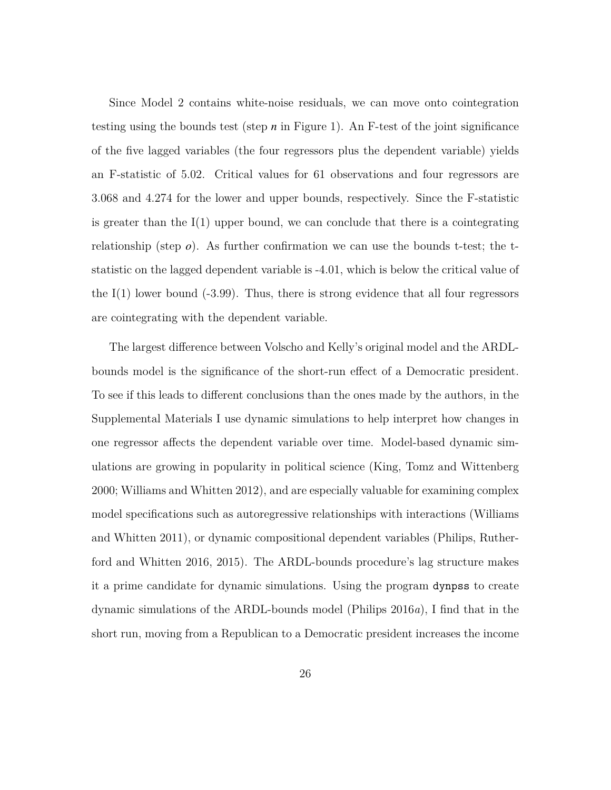Since Model 2 contains white-noise residuals, we can move onto cointegration testing using the bounds test (step *n* in Figure 1). An F-test of the joint significance of the five lagged variables (the four regressors plus the dependent variable) yields an F-statistic of 5.02. Critical values for 61 observations and four regressors are 3.068 and 4.274 for the lower and upper bounds, respectively. Since the F-statistic is greater than the  $I(1)$  upper bound, we can conclude that there is a cointegrating relationship (step  $\rho$ ). As further confirmation we can use the bounds t-test; the tstatistic on the lagged dependent variable is -4.01, which is below the critical value of the  $I(1)$  lower bound  $(-3.99)$ . Thus, there is strong evidence that all four regressors are cointegrating with the dependent variable.

The largest difference between Volscho and Kelly's original model and the ARDLbounds model is the significance of the short-run effect of a Democratic president. To see if this leads to different conclusions than the ones made by the authors, in the Supplemental Materials I use dynamic simulations to help interpret how changes in one regressor affects the dependent variable over time. Model-based dynamic simulations are growing in popularity in political science (King, Tomz and Wittenberg 2000; Williams and Whitten 2012), and are especially valuable for examining complex model specifications such as autoregressive relationships with interactions (Williams and Whitten 2011), or dynamic compositional dependent variables (Philips, Rutherford and Whitten 2016, 2015). The ARDL-bounds procedure's lag structure makes it a prime candidate for dynamic simulations. Using the program dynpss to create dynamic simulations of the ARDL-bounds model (Philips 2016*a*), I find that in the short run, moving from a Republican to a Democratic president increases the income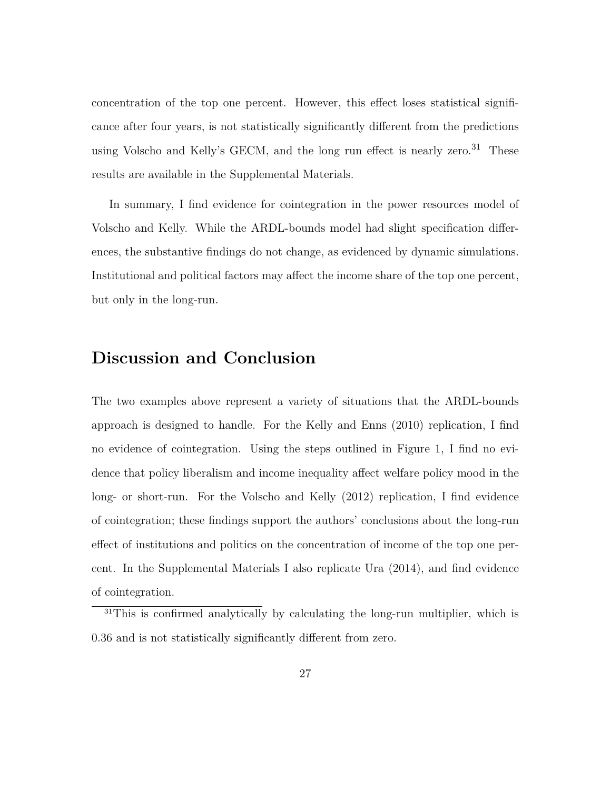concentration of the top one percent. However, this effect loses statistical significance after four years, is not statistically significantly different from the predictions using Volscho and Kelly's GECM, and the long run effect is nearly zero.<sup>31</sup> These results are available in the Supplemental Materials.

In summary, I find evidence for cointegration in the power resources model of Volscho and Kelly. While the ARDL-bounds model had slight specification differences, the substantive findings do not change, as evidenced by dynamic simulations. Institutional and political factors may affect the income share of the top one percent, but only in the long-run.

## **Discussion and Conclusion**

The two examples above represent a variety of situations that the ARDL-bounds approach is designed to handle. For the Kelly and Enns (2010) replication, I find no evidence of cointegration. Using the steps outlined in Figure 1, I find no evidence that policy liberalism and income inequality affect welfare policy mood in the long- or short-run. For the Volscho and Kelly (2012) replication, I find evidence of cointegration; these findings support the authors' conclusions about the long-run effect of institutions and politics on the concentration of income of the top one percent. In the Supplemental Materials I also replicate Ura (2014), and find evidence of cointegration.

<sup>&</sup>lt;sup>31</sup>This is confirmed analytically by calculating the long-run multiplier, which is 0.36 and is not statistically significantly different from zero.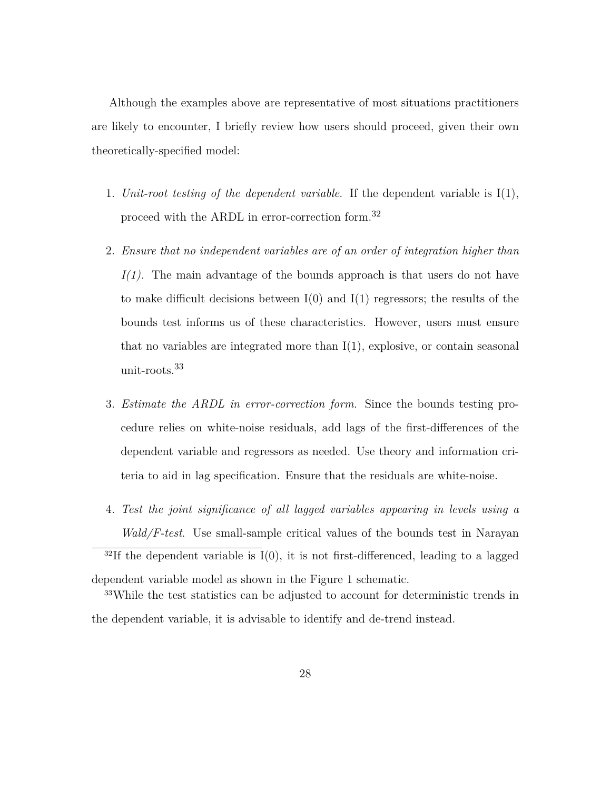Although the examples above are representative of most situations practitioners are likely to encounter, I briefly review how users should proceed, given their own theoretically-specified model:

- 1. *Unit-root testing of the dependent variable*. If the dependent variable is I(1), proceed with the ARDL in error-correction form.32
- 2. *Ensure that no independent variables are of an order of integration higher than I(1).* The main advantage of the bounds approach is that users do not have to make difficult decisions between  $I(0)$  and  $I(1)$  regressors; the results of the bounds test informs us of these characteristics. However, users must ensure that no variables are integrated more than  $I(1)$ , explosive, or contain seasonal unit-roots.33
- 3. *Estimate the ARDL in error-correction form*. Since the bounds testing procedure relies on white-noise residuals, add lags of the first-differences of the dependent variable and regressors as needed. Use theory and information criteria to aid in lag specification. Ensure that the residuals are white-noise.
- 4. *Test the joint significance of all lagged variables appearing in levels using a Wald/F-test*. Use small-sample critical values of the bounds test in Narayan  $32$ If the dependent variable is I(0), it is not first-differenced, leading to a lagged

the dependent variable, it is advisable to identify and de-trend instead.

dependent variable model as shown in the Figure 1 schematic. <sup>33</sup>While the test statistics can be adjusted to account for deterministic trends in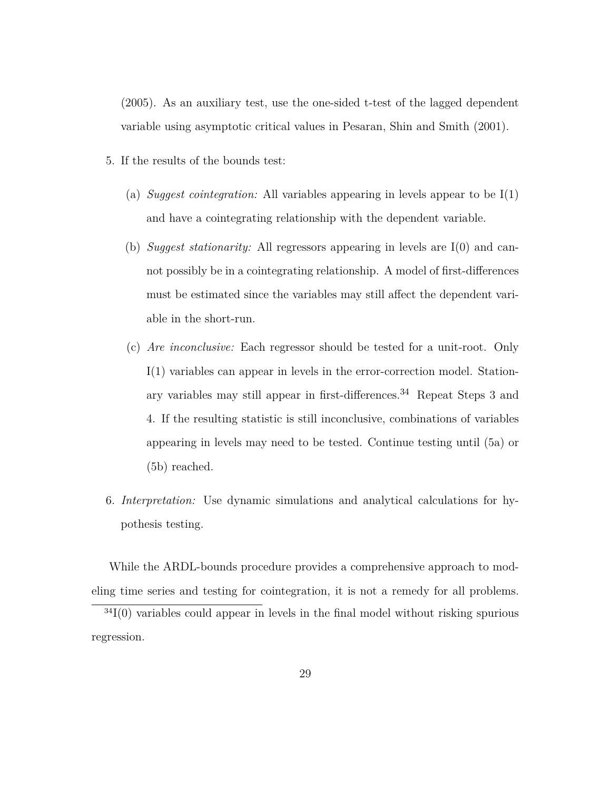(2005). As an auxiliary test, use the one-sided t-test of the lagged dependent variable using asymptotic critical values in Pesaran, Shin and Smith (2001).

- 5. If the results of the bounds test:
	- (a) *Suggest cointegration:* All variables appearing in levels appear to be I(1) and have a cointegrating relationship with the dependent variable.
	- (b) *Suggest stationarity:* All regressors appearing in levels are I(0) and cannot possibly be in a cointegrating relationship. A model of first-differences must be estimated since the variables may still affect the dependent variable in the short-run.
	- (c) *Are inconclusive:* Each regressor should be tested for a unit-root. Only I(1) variables can appear in levels in the error-correction model. Stationary variables may still appear in first-differences.34 Repeat Steps 3 and 4. If the resulting statistic is still inconclusive, combinations of variables appearing in levels may need to be tested. Continue testing until (5a) or (5b) reached.
- 6. *Interpretation:* Use dynamic simulations and analytical calculations for hypothesis testing.

While the ARDL-bounds procedure provides a comprehensive approach to modeling time series and testing for cointegration, it is not a remedy for all problems.

 $34I(0)$  variables could appear in levels in the final model without risking spurious regression.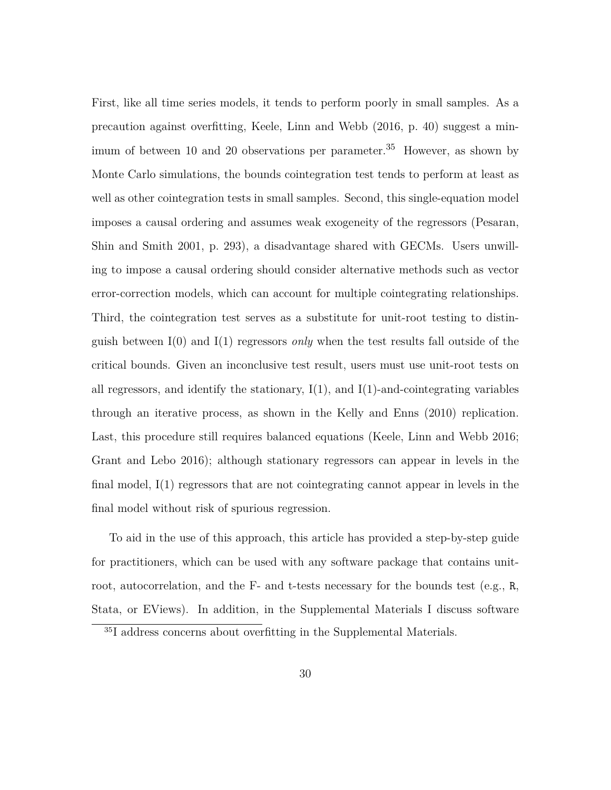First, like all time series models, it tends to perform poorly in small samples. As a precaution against overfitting, Keele, Linn and Webb (2016, p. 40) suggest a minimum of between 10 and 20 observations per parameter.<sup>35</sup> However, as shown by Monte Carlo simulations, the bounds cointegration test tends to perform at least as well as other cointegration tests in small samples. Second, this single-equation model imposes a causal ordering and assumes weak exogeneity of the regressors (Pesaran, Shin and Smith 2001, p. 293), a disadvantage shared with GECMs. Users unwilling to impose a causal ordering should consider alternative methods such as vector error-correction models, which can account for multiple cointegrating relationships. Third, the cointegration test serves as a substitute for unit-root testing to distinguish between I(0) and I(1) regressors *only* when the test results fall outside of the critical bounds. Given an inconclusive test result, users must use unit-root tests on all regressors, and identify the stationary,  $I(1)$ , and  $I(1)$ -and-cointegrating variables through an iterative process, as shown in the Kelly and Enns (2010) replication. Last, this procedure still requires balanced equations (Keele, Linn and Webb 2016; Grant and Lebo 2016); although stationary regressors can appear in levels in the final model, I(1) regressors that are not cointegrating cannot appear in levels in the final model without risk of spurious regression.

To aid in the use of this approach, this article has provided a step-by-step guide for practitioners, which can be used with any software package that contains unitroot, autocorrelation, and the  $F-$  and t-tests necessary for the bounds test (e.g., R, Stata, or EViews). In addition, in the Supplemental Materials I discuss software

<sup>35</sup>I address concerns about overfitting in the Supplemental Materials.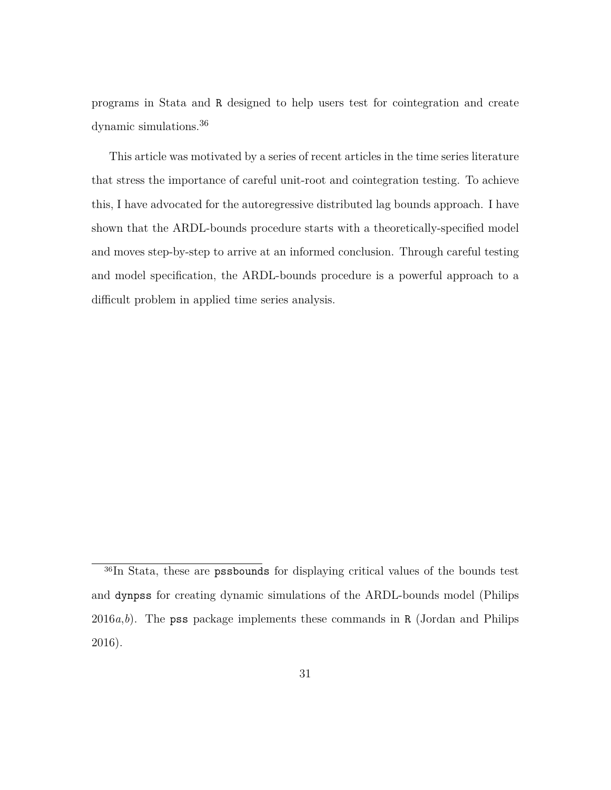programs in Stata and R designed to help users test for cointegration and create dynamic simulations.36

This article was motivated by a series of recent articles in the time series literature that stress the importance of careful unit-root and cointegration testing. To achieve this, I have advocated for the autoregressive distributed lag bounds approach. I have shown that the ARDL-bounds procedure starts with a theoretically-specified model and moves step-by-step to arrive at an informed conclusion. Through careful testing and model specification, the ARDL-bounds procedure is a powerful approach to a difficult problem in applied time series analysis.

<sup>&</sup>lt;sup>36</sup>In Stata, these are **pssbounds** for displaying critical values of the bounds test and dynpss for creating dynamic simulations of the ARDL-bounds model (Philips 2016*a*,*b*). The pss package implements these commands in R (Jordan and Philips 2016).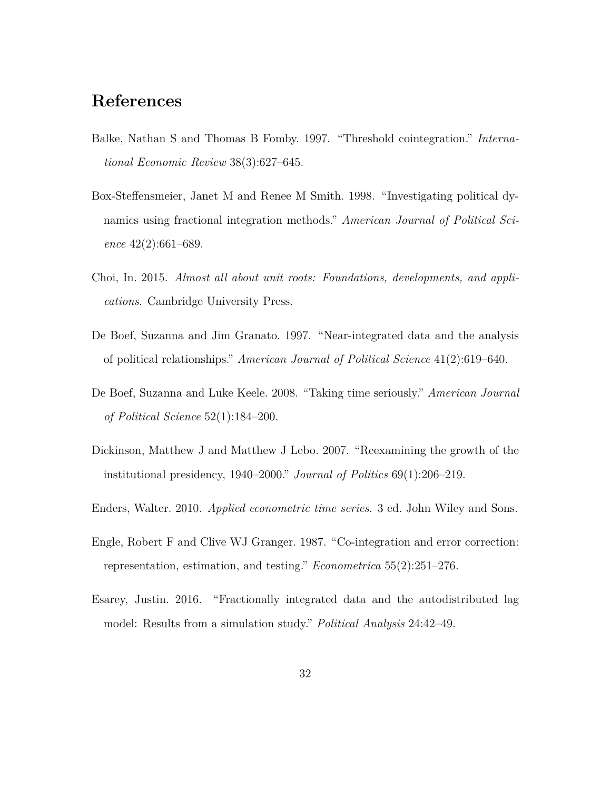# **References**

- Balke, Nathan S and Thomas B Fomby. 1997. "Threshold cointegration." *International Economic Review* 38(3):627–645.
- Box-Steffensmeier, Janet M and Renee M Smith. 1998. "Investigating political dynamics using fractional integration methods." *American Journal of Political Science* 42(2):661–689.
- Choi, In. 2015. *Almost all about unit roots: Foundations, developments, and applications*. Cambridge University Press.
- De Boef, Suzanna and Jim Granato. 1997. "Near-integrated data and the analysis of political relationships." *American Journal of Political Science* 41(2):619–640.
- De Boef, Suzanna and Luke Keele. 2008. "Taking time seriously." *American Journal of Political Science* 52(1):184–200.
- Dickinson, Matthew J and Matthew J Lebo. 2007. "Reexamining the growth of the institutional presidency, 1940–2000." *Journal of Politics* 69(1):206–219.
- Enders, Walter. 2010. *Applied econometric time series*. 3 ed. John Wiley and Sons.
- Engle, Robert F and Clive WJ Granger. 1987. "Co-integration and error correction: representation, estimation, and testing." *Econometrica* 55(2):251–276.
- Esarey, Justin. 2016. "Fractionally integrated data and the autodistributed lag model: Results from a simulation study." *Political Analysis* 24:42–49.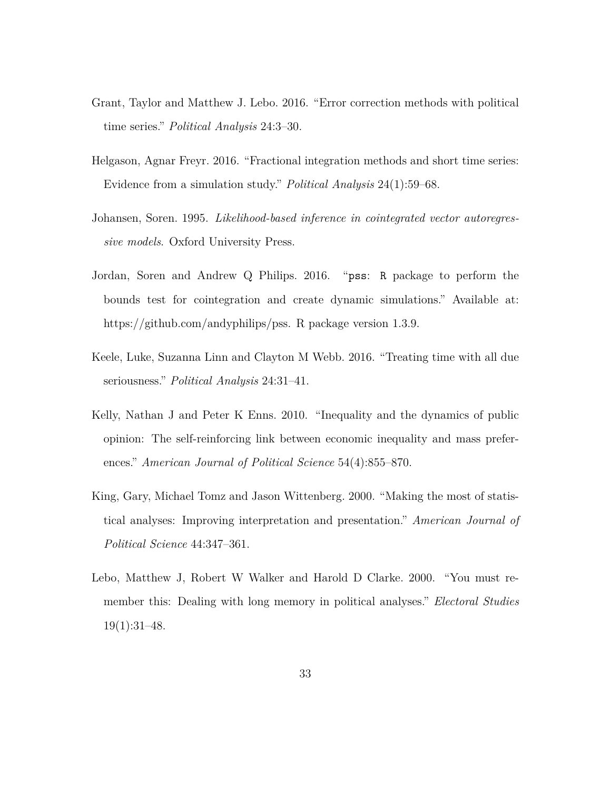- Grant, Taylor and Matthew J. Lebo. 2016. "Error correction methods with political time series." *Political Analysis* 24:3–30.
- Helgason, Agnar Freyr. 2016. "Fractional integration methods and short time series: Evidence from a simulation study." *Political Analysis* 24(1):59–68.
- Johansen, Soren. 1995. *Likelihood-based inference in cointegrated vector autoregressive models*. Oxford University Press.
- Jordan, Soren and Andrew Q Philips. 2016. "pss: R package to perform the bounds test for cointegration and create dynamic simulations." Available at: https://github.com/andyphilips/pss. R package version 1.3.9.
- Keele, Luke, Suzanna Linn and Clayton M Webb. 2016. "Treating time with all due seriousness." *Political Analysis* 24:31–41.
- Kelly, Nathan J and Peter K Enns. 2010. "Inequality and the dynamics of public opinion: The self-reinforcing link between economic inequality and mass preferences." *American Journal of Political Science* 54(4):855–870.
- King, Gary, Michael Tomz and Jason Wittenberg. 2000. "Making the most of statistical analyses: Improving interpretation and presentation." *American Journal of Political Science* 44:347–361.
- Lebo, Matthew J, Robert W Walker and Harold D Clarke. 2000. "You must remember this: Dealing with long memory in political analyses." *Electoral Studies* 19(1):31–48.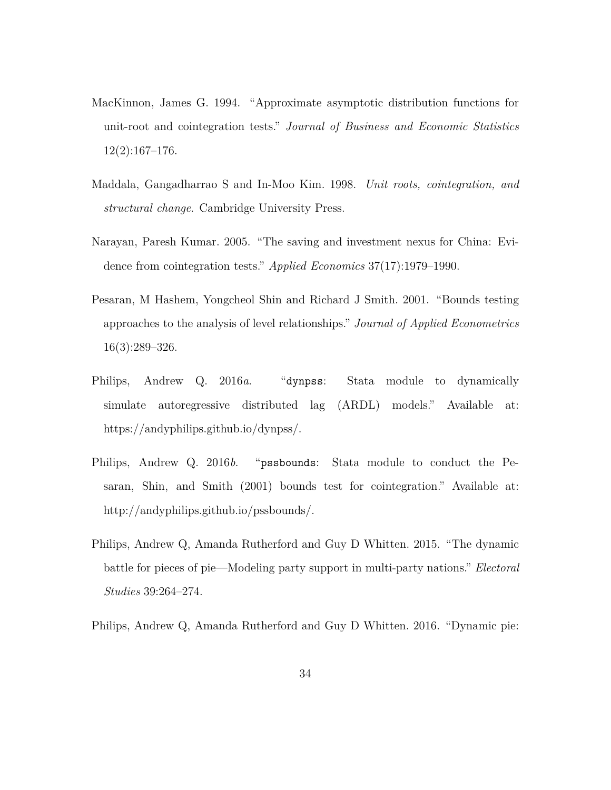- MacKinnon, James G. 1994. "Approximate asymptotic distribution functions for unit-root and cointegration tests." *Journal of Business and Economic Statistics* 12(2):167–176.
- Maddala, Gangadharrao S and In-Moo Kim. 1998. *Unit roots, cointegration, and structural change*. Cambridge University Press.
- Narayan, Paresh Kumar. 2005. "The saving and investment nexus for China: Evidence from cointegration tests." *Applied Economics* 37(17):1979–1990.
- Pesaran, M Hashem, Yongcheol Shin and Richard J Smith. 2001. "Bounds testing approaches to the analysis of level relationships." *Journal of Applied Econometrics* 16(3):289–326.
- Philips, Andrew Q. 2016*a*. "dynpss: Stata module to dynamically simulate autoregressive distributed lag (ARDL) models." Available at: https://andyphilips.github.io/dynpss/.
- Philips, Andrew Q. 2016*b*. "pssbounds: Stata module to conduct the Pesaran, Shin, and Smith (2001) bounds test for cointegration." Available at: http://andyphilips.github.io/pssbounds/.
- Philips, Andrew Q, Amanda Rutherford and Guy D Whitten. 2015. "The dynamic battle for pieces of pie—Modeling party support in multi-party nations." *Electoral Studies* 39:264–274.
- Philips, Andrew Q, Amanda Rutherford and Guy D Whitten. 2016. "Dynamic pie: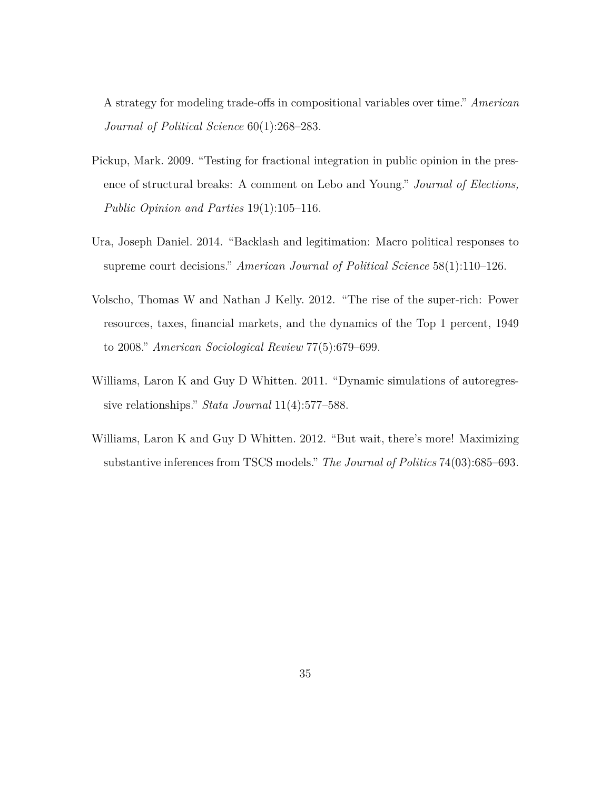A strategy for modeling trade-offs in compositional variables over time." *American Journal of Political Science* 60(1):268–283.

- Pickup, Mark. 2009. "Testing for fractional integration in public opinion in the presence of structural breaks: A comment on Lebo and Young." *Journal of Elections, Public Opinion and Parties* 19(1):105–116.
- Ura, Joseph Daniel. 2014. "Backlash and legitimation: Macro political responses to supreme court decisions." *American Journal of Political Science* 58(1):110–126.
- Volscho, Thomas W and Nathan J Kelly. 2012. "The rise of the super-rich: Power resources, taxes, financial markets, and the dynamics of the Top 1 percent, 1949 to 2008." *American Sociological Review* 77(5):679–699.
- Williams, Laron K and Guy D Whitten. 2011. "Dynamic simulations of autoregressive relationships." *Stata Journal* 11(4):577–588.
- Williams, Laron K and Guy D Whitten. 2012. "But wait, there's more! Maximizing substantive inferences from TSCS models." *The Journal of Politics* 74(03):685–693.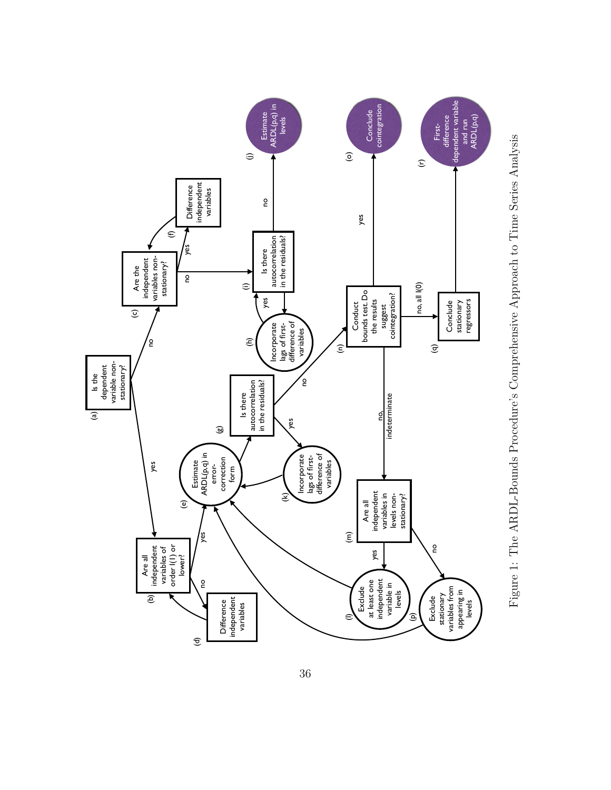

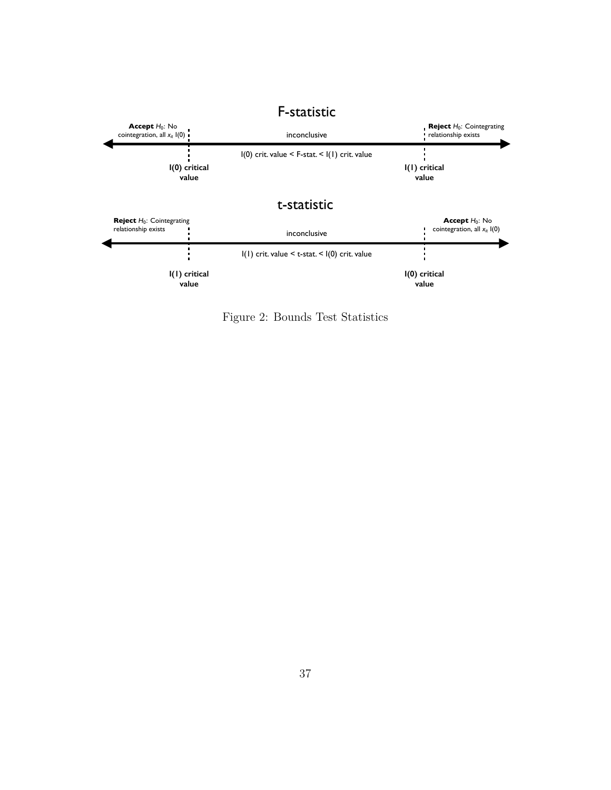

Figure 2: Bounds Test Statistics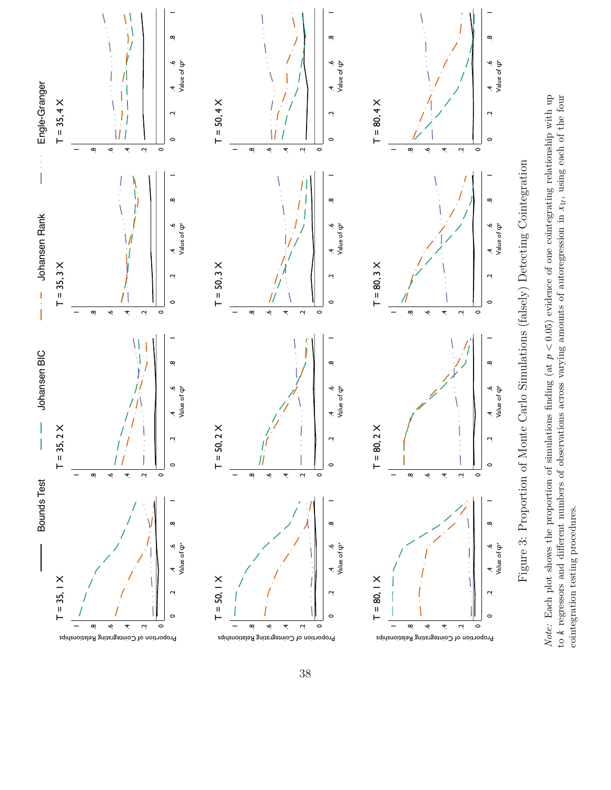

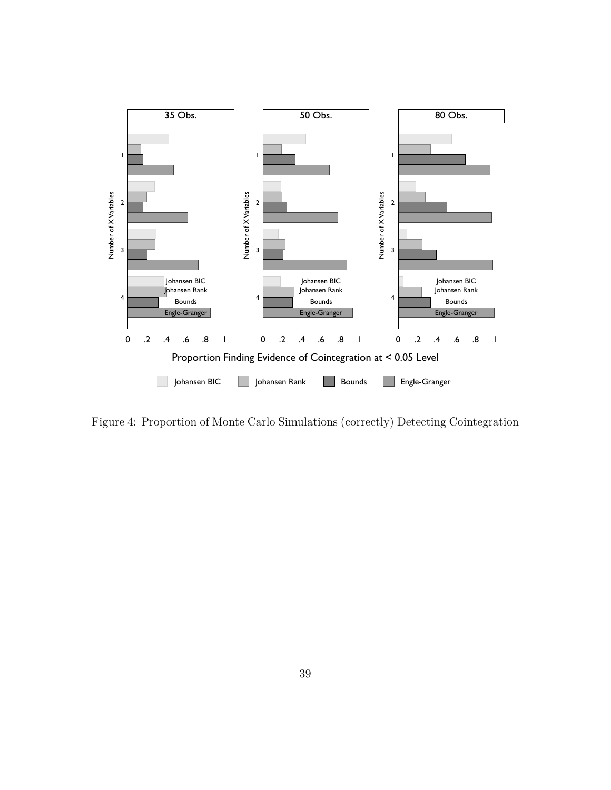

Figure 4: Proportion of Monte Carlo Simulations (correctly) Detecting Cointegration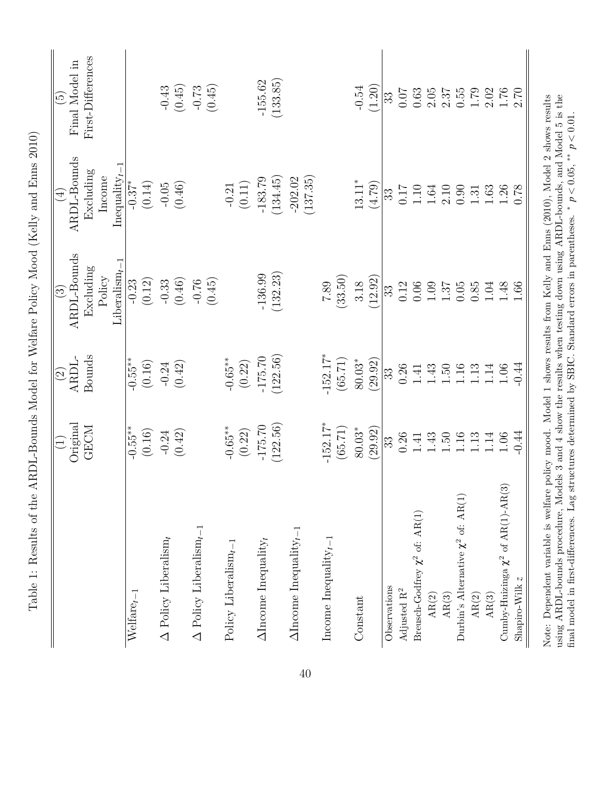|                                                                                                                                                                                                                                                                                                                                                                                       | Original<br>$\widetilde{\Xi}$ | ARDL-<br>$\odot$ | ARDL-Bounds<br>$\widehat{\mathbb{C}}$ | ARDL-Bounds<br>$\widehat{A}$ | Final Model in<br>$\widetilde{\mathfrak{G}}$ |
|---------------------------------------------------------------------------------------------------------------------------------------------------------------------------------------------------------------------------------------------------------------------------------------------------------------------------------------------------------------------------------------|-------------------------------|------------------|---------------------------------------|------------------------------|----------------------------------------------|
|                                                                                                                                                                                                                                                                                                                                                                                       | <b>GECM</b>                   | Bounds           | Excluding                             | Excluding                    | First-Differences                            |
|                                                                                                                                                                                                                                                                                                                                                                                       |                               |                  | Policy                                | Income                       |                                              |
|                                                                                                                                                                                                                                                                                                                                                                                       |                               |                  | T<br>Liberalism $_t$                  | ī<br>Inequality $_t$         |                                              |
| $Welfare_{t-1}$                                                                                                                                                                                                                                                                                                                                                                       | $-0.55**$                     | $-0.55**$        | $-0.23$                               | $-0.37*$                     |                                              |
|                                                                                                                                                                                                                                                                                                                                                                                       | (0.16)                        | (0.16)           | (0.12)                                | (0.14)                       |                                              |
| $\Delta$ Policy Liberalism <sub>t</sub>                                                                                                                                                                                                                                                                                                                                               | $-0.24$                       | $-0.24$          | $-0.33$                               | $-0.05$                      |                                              |
|                                                                                                                                                                                                                                                                                                                                                                                       | (0.42)                        | (0.42)           | (0.46)                                | (0.46)                       | $-0.43$<br>(0.45)                            |
| $\Delta$ Policy Liberalism <sub>t</sub>                                                                                                                                                                                                                                                                                                                                               |                               |                  | $-0.76$                               |                              |                                              |
|                                                                                                                                                                                                                                                                                                                                                                                       |                               |                  | (0.45)                                |                              | $-0.73$<br>(0.45)                            |
| Policy Liberalism $_t$                                                                                                                                                                                                                                                                                                                                                                | $-0.65**$                     | $-0.65**$        |                                       | $-0.21$                      |                                              |
|                                                                                                                                                                                                                                                                                                                                                                                       | (0.22)                        | (0.22)           |                                       | (0.11)                       |                                              |
| $\Delta$ Income Inequality <sub>t</sub>                                                                                                                                                                                                                                                                                                                                               | $-175.70$                     | $-175.70$        | $-136.99$                             | $-183.79$                    | $-155.62$                                    |
|                                                                                                                                                                                                                                                                                                                                                                                       | (122.56)                      | (122.56)         | (132.23)                              | (134.45)                     | (133.85)                                     |
| $\Delta$ Income Inequality $_{t-1}$                                                                                                                                                                                                                                                                                                                                                   |                               |                  |                                       | (137.35)<br>$-202.02$        |                                              |
| Income Inequality $_{t-1}$                                                                                                                                                                                                                                                                                                                                                            | $-152.17*$                    | $-152.17*$       | 7.89                                  |                              |                                              |
|                                                                                                                                                                                                                                                                                                                                                                                       | (65.71)                       | (65.71)          | (33.50)                               |                              |                                              |
| Constant                                                                                                                                                                                                                                                                                                                                                                              | $80.03^\ast$                  | $80.03*$         | 3.18                                  | $13.11*$                     | $-0.54$                                      |
|                                                                                                                                                                                                                                                                                                                                                                                       | (29.92)                       | (29.92)          | (12.92)                               | (4.79)                       | (1.20)                                       |
| Observations                                                                                                                                                                                                                                                                                                                                                                          | 33                            | 33               | 33                                    | 33                           | 33                                           |
| Adjusted $\mathbf{R}^2$                                                                                                                                                                                                                                                                                                                                                               | 0.26                          | 0.26             | 0.12                                  | 71.0                         | 0.07                                         |
| Breusch-Godfrey $\chi^2$ of: AR(1)                                                                                                                                                                                                                                                                                                                                                    | 1.41                          | 1.41             | $0.06\,$                              | 1.10                         | 0.63                                         |
| AR(2)                                                                                                                                                                                                                                                                                                                                                                                 | 1.43                          | 1.43             | 1.09                                  | 1.64                         | 2.05                                         |
| $\mathrm{AR}(3)$                                                                                                                                                                                                                                                                                                                                                                      | 1.50                          | 1.50             | 1.37                                  | 2.10                         | 2.37                                         |
| Durbin's Alternative $\chi^2$ of: AR(1)                                                                                                                                                                                                                                                                                                                                               | $1.16\,$                      | 1.16             | 0.05                                  | 0.90                         | 0.55                                         |
| AR(2)                                                                                                                                                                                                                                                                                                                                                                                 | 1.13                          | 1.13             | 0.85                                  | 1.31                         | 1.79                                         |
| AR(3)                                                                                                                                                                                                                                                                                                                                                                                 | 1.14                          | 1.14             | 1.04                                  | 1.63                         | 2.02                                         |
| $\widehat{\mathfrak{D}}$<br>Cumby-Huizinga $\chi^2$ of AR(1)-AR(                                                                                                                                                                                                                                                                                                                      | 1.06                          | 1.06             | 1.48                                  | $1.26\,$                     | 1.76                                         |
| N<br>Shapiro-Wilk                                                                                                                                                                                                                                                                                                                                                                     | $-0.44$                       | $-0.44$          | 1.66                                  | 0.78                         | 2.70                                         |
| using ARDL-bounds procedure, Models 3 and 4 show the results when testing down using ARDL-bounds, and Model 5 is the<br>Note: Dependent variable is welfare policy mood. Model 1 shows results from Kelly and Enns (2010), Model 2 shows results<br>final model in first-differences. Lag structures determined by SBIC. Standard errors in parentheses. * $p < 0.05$ , ** $p < 0.01$ |                               |                  |                                       |                              |                                              |
|                                                                                                                                                                                                                                                                                                                                                                                       |                               |                  |                                       |                              |                                              |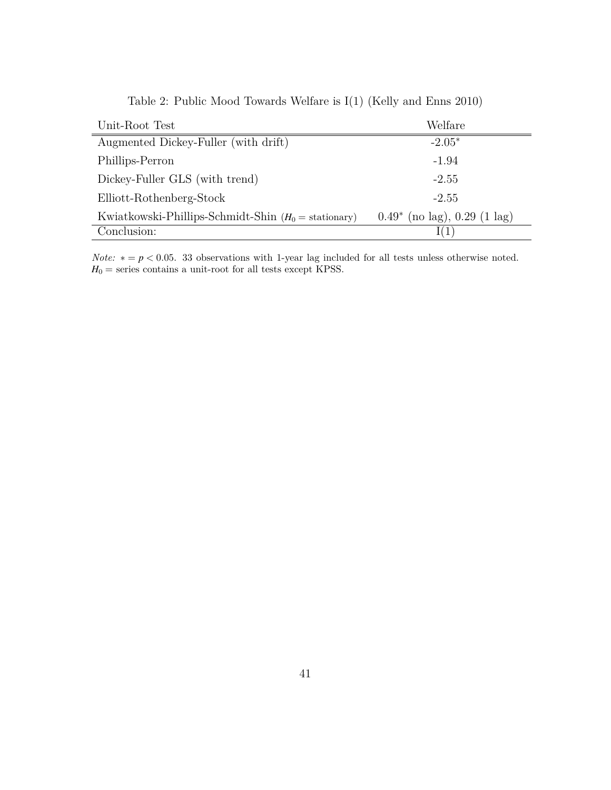| Unit-Root Test                                         | Welfare                           |
|--------------------------------------------------------|-----------------------------------|
| Augmented Dickey-Fuller (with drift)                   | $-2.05*$                          |
| Phillips-Perron                                        | $-1.94$                           |
| Dickey-Fuller GLS (with trend)                         | $-2.55$                           |
| Elliott-Rothenberg-Stock                               | $-2.55$                           |
| Kwiatkowski-Phillips-Schmidt-Shin $(H_0 =$ stationary) | $0.49^*$ (no lag), $0.29$ (1 lag) |
| Conclusion:                                            |                                   |

Table 2: Public Mood Towards Welfare is I(1) (Kelly and Enns 2010)

*Note:*  $* = p < 0.05$ . 33 observations with 1-year lag included for all tests unless otherwise noted.  $H_0$  = series contains a unit-root for all tests except KPSS.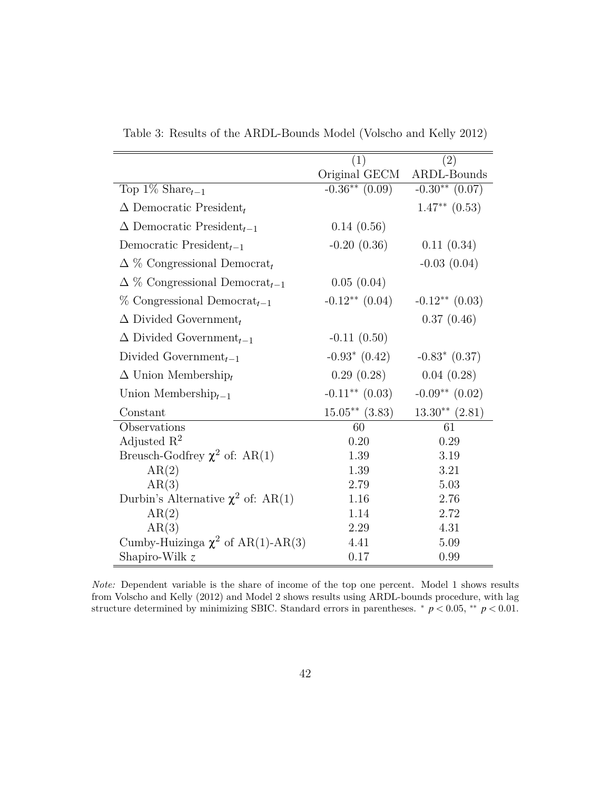|                                                   | (1)                 | (2)                |
|---------------------------------------------------|---------------------|--------------------|
|                                                   | Original GECM       | ARDL-Bounds        |
| Top 1\% Share $_{t-1}$                            | $-0.36**$ $(0.09)$  | $-0.30**$ (0.07)   |
| $\Delta$ Democratic President,                    |                     | $1.47**$ (0.53)    |
| $\Delta$ Democratic President <sub>t-1</sub>      | 0.14(0.56)          |                    |
| Democratic President <sub><math>t-1</math></sub>  | $-0.20(0.36)$       | 0.11(0.34)         |
| $\Delta \%$ Congressional Democrat <sub>t</sub>   |                     | $-0.03(0.04)$      |
| $\Delta \%$ Congressional Democrat <sub>t-1</sub> | 0.05(0.04)          |                    |
| $\%$ Congressional Democrat <sub>t-1</sub>        | $-0.12**$ $(0.04)$  | $-0.12**$ $(0.03)$ |
| $\Delta$ Divided Government <sub>t</sub>          |                     | 0.37(0.46)         |
| $\Delta$ Divided Government <sub>t-1</sub>        | $-0.11(0.50)$       |                    |
| Divided Government <sub><math>t-1</math></sub>    | $-0.93*$ $(0.42)$   | $-0.83$ (0.37)     |
| $\Delta$ Union Membership                         | 0.29(0.28)          | 0.04(0.28)         |
| Union Membership $_{t-1}$                         | $-0.11***$ $(0.03)$ | $-0.09**$ $(0.02)$ |
| Constant                                          | $15.05**$ (3.83)    | $13.30**$ $(2.81)$ |
| Observations                                      | 60                  | 61                 |
| Adjusted $\mathbb{R}^2$                           | 0.20                | 0.29               |
| Breusch-Godfrey $\chi^2$ of: AR(1)                | 1.39                | 3.19               |
| AR(2)                                             | 1.39                | 3.21               |
| AR(3)                                             | 2.79                | 5.03               |
| Durbin's Alternative $\chi^2$ of: AR(1)           | 1.16                | 2.76               |
| AR(2)                                             | 1.14                | 2.72               |
| AR(3)                                             | 2.29                | 4.31               |
| Cumby-Huizinga $\chi^2$ of AR(1)-AR(3)            | 4.41                | 5.09               |
| Shapiro-Wilk $z$                                  | 0.17                | 0.99               |

Table 3: Results of the ARDL-Bounds Model (Volscho and Kelly 2012)

*Note:* Dependent variable is the share of income of the top one percent. Model 1 shows results from Volscho and Kelly (2012) and Model 2 shows results using ARDL-bounds procedure, with lag structure determined by minimizing SBIC. Standard errors in parentheses. *∗ p <* 0*.*05, *∗∗ p <* 0*.*01.